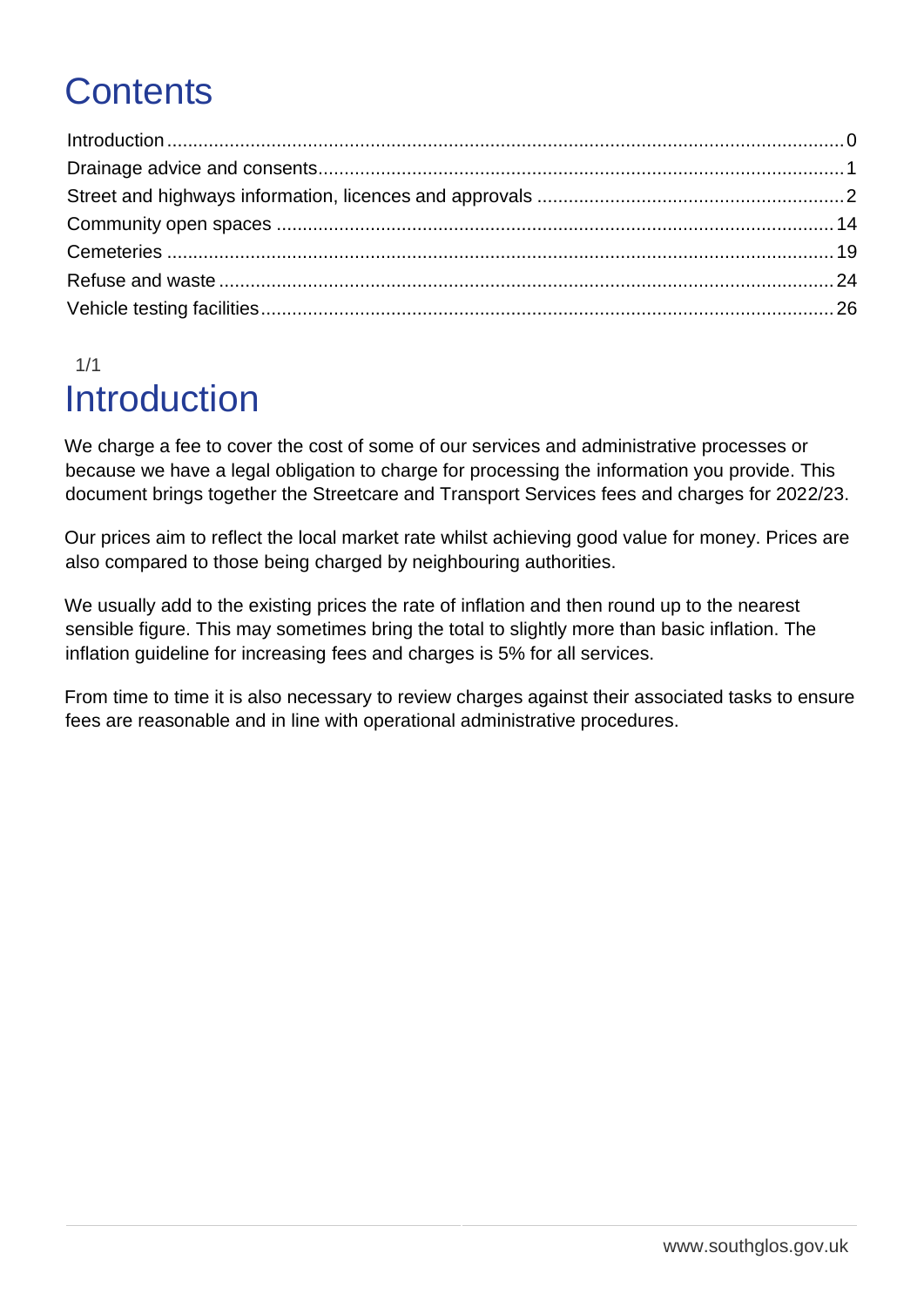## **Contents**

### <span id="page-0-0"></span>1/1 Introduction

We charge a fee to cover the cost of some of our services and administrative processes or because we have a legal obligation to charge for processing the information you provide. This document brings together the Streetcare and Transport Services fees and charges for 2022/23.

Our prices aim to reflect the local market rate whilst achieving good value for money. Prices are also compared to those being charged by neighbouring authorities.

We usually add to the existing prices the rate of inflation and then round up to the nearest sensible figure. This may sometimes bring the total to slightly more than basic inflation. The inflation guideline for increasing fees and charges is 5% for all services.

From time to time it is also necessary to review charges against their associated tasks to ensure fees are reasonable and in line with operational administrative procedures.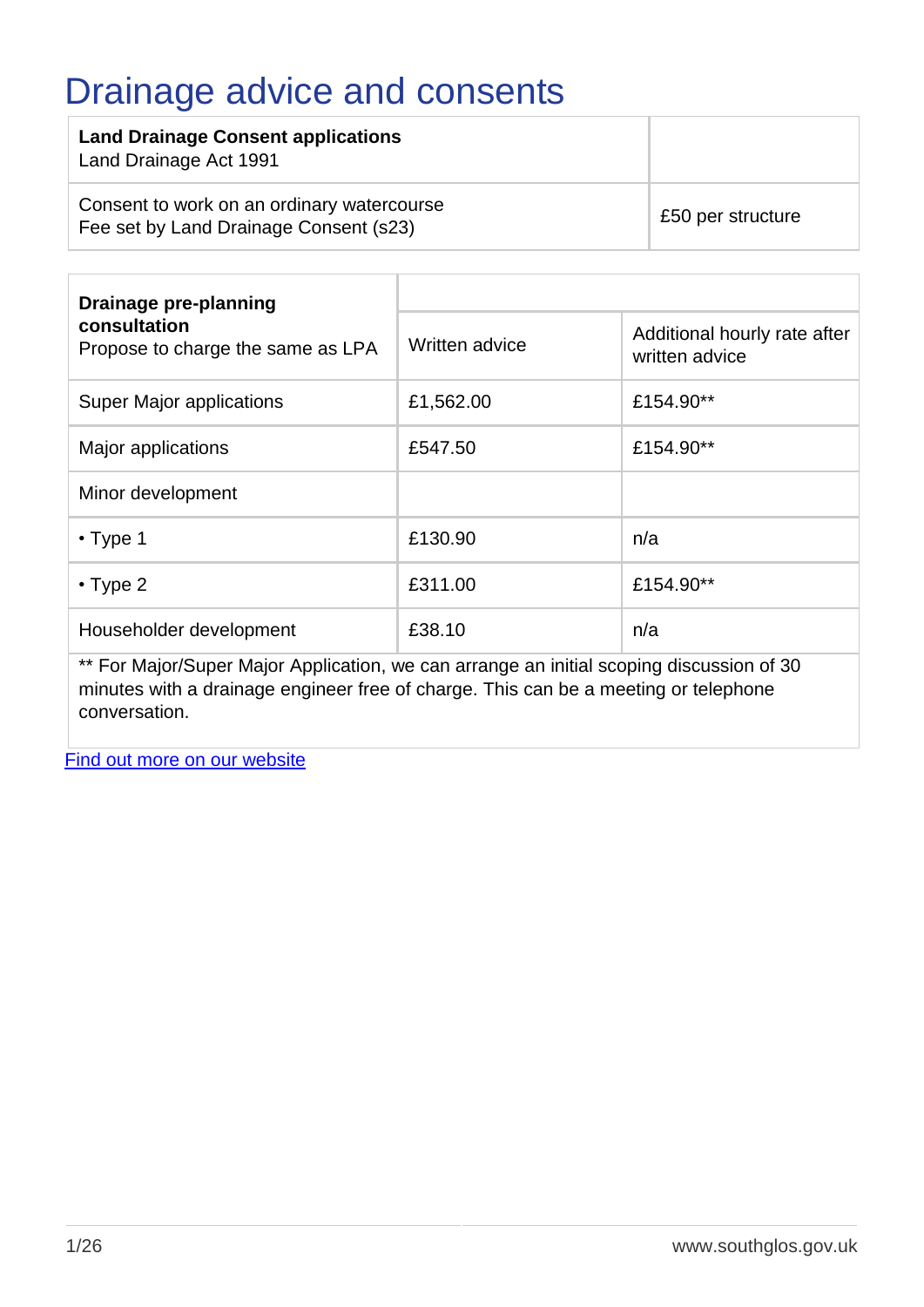### <span id="page-1-0"></span>Drainage advice and consents

| <b>Land Drainage Consent applications</b><br>Land Drainage Act 1991                  |                   |
|--------------------------------------------------------------------------------------|-------------------|
| Consent to work on an ordinary watercourse<br>Fee set by Land Drainage Consent (s23) | £50 per structure |

| Drainage pre-planning                             |                |                                                |
|---------------------------------------------------|----------------|------------------------------------------------|
| consultation<br>Propose to charge the same as LPA | Written advice | Additional hourly rate after<br>written advice |
| <b>Super Major applications</b>                   | £1,562.00      | £154.90**                                      |
| Major applications                                | £547.50        | £154.90**                                      |
| Minor development                                 |                |                                                |
| $\cdot$ Type 1                                    | £130.90        | n/a                                            |
| $\cdot$ Type 2                                    | £311.00        | £154.90**                                      |
| Householder development                           | £38.10         | n/a                                            |

\*\* For Major/Super Major Application, we can arrange an initial scoping discussion of 30 minutes with a drainage engineer free of charge. This can be a meeting or telephone conversation.

[Find out more on our website](http://www.southglos.gov.uk/environment/drainage-and-flood-risk-management/)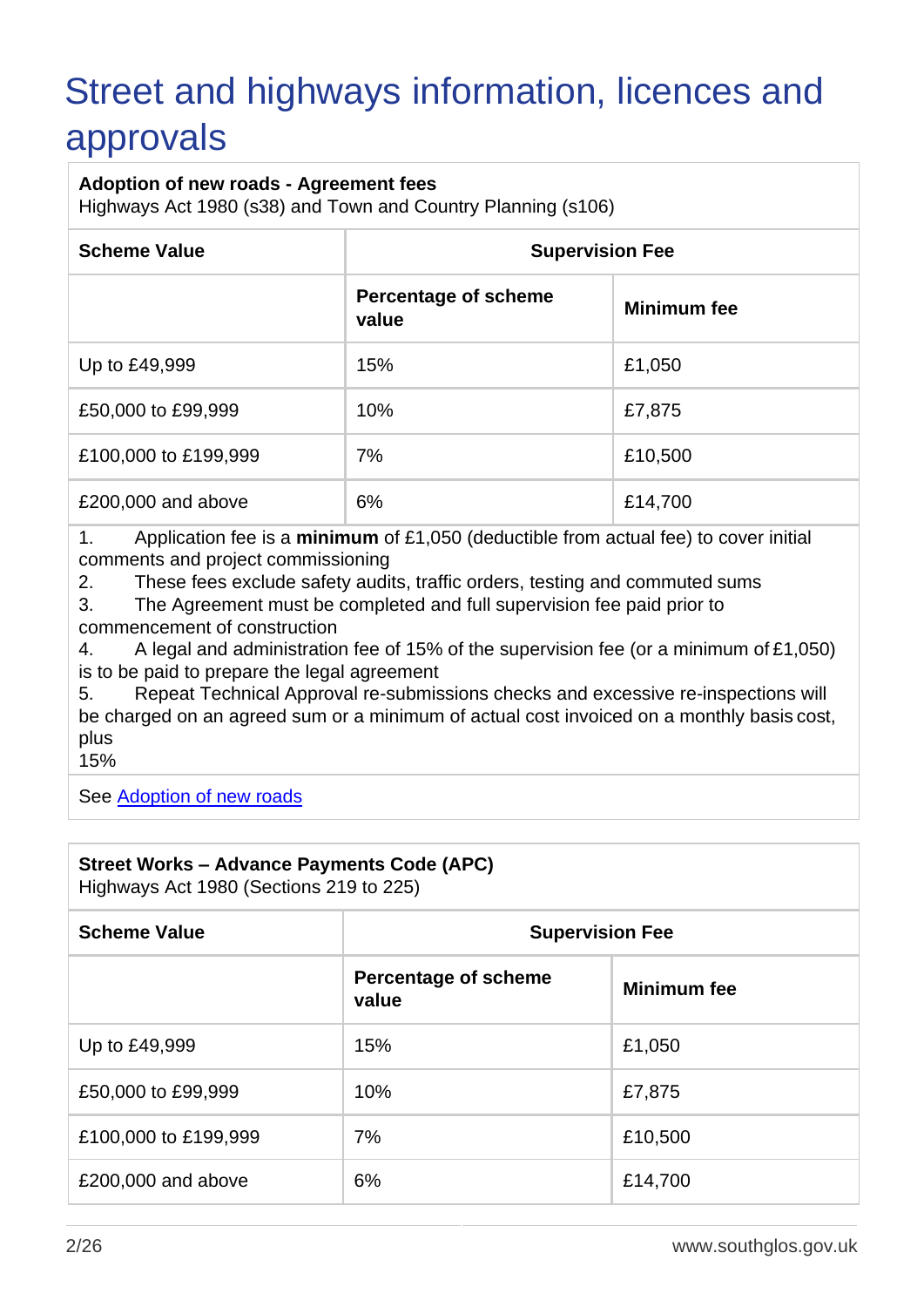# <span id="page-2-0"></span>Street and highways information, licences and

### approvals

#### **Adoption of new roads - Agreement fees**

Highways Act 1980 (s38) and Town and Country Planning (s106)

| <b>Scheme Value</b>  | <b>Supervision Fee</b>               |                    |
|----------------------|--------------------------------------|--------------------|
|                      | <b>Percentage of scheme</b><br>value | <b>Minimum fee</b> |
| Up to £49,999        | 15%                                  | £1,050             |
| £50,000 to £99,999   | 10%                                  | £7,875             |
| £100,000 to £199,999 | 7%                                   | £10,500            |
| £200,000 and above   | 6%                                   | £14,700            |

1. Application fee is a **minimum** of £1,050 (deductible from actual fee) to cover initial comments and project commissioning

2. These fees exclude safety audits, traffic orders, testing and commuted sums

3. The Agreement must be completed and full supervision fee paid prior to commencement of construction

4. A legal and administration fee of 15% of the supervision fee (or a minimum of £1,050) is to be paid to prepare the legal agreement

5. Repeat Technical Approval re-submissions checks and excessive re-inspections will be charged on an agreed sum or a minimum of actual cost invoiced on a monthly basis cost, plus

15%

See [Adoption of new roads](http://www.southglos.gov.uk/transport-and-streets/streets/adoption-of-new-roads/)

#### **Street Works – Advance Payments Code (APC)**

Highways Act 1980 (Sections 219 to 225)

| <b>Scheme Value</b>  | <b>Supervision Fee</b>               |                    |  |
|----------------------|--------------------------------------|--------------------|--|
|                      | <b>Percentage of scheme</b><br>value | <b>Minimum fee</b> |  |
| Up to £49,999        | 15%                                  | £1,050             |  |
| £50,000 to £99,999   | 10%                                  | £7,875             |  |
| £100,000 to £199,999 | 7%                                   | £10,500            |  |
| £200,000 and above   | 6%                                   | £14,700            |  |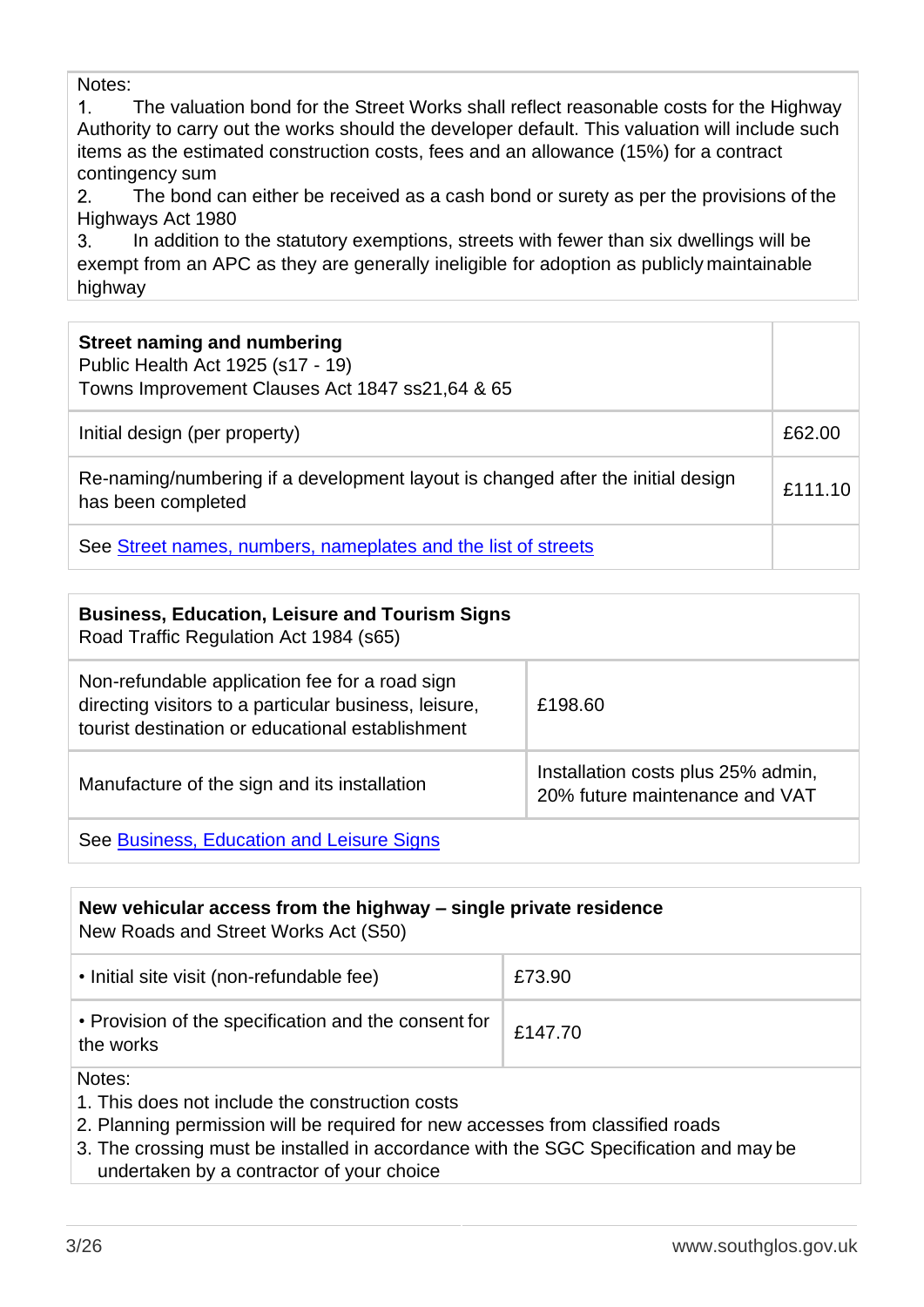Notes:

 $1<sub>1</sub>$ The valuation bond for the Street Works shall reflect reasonable costs for the Highway Authority to carry out the works should the developer default. This valuation will include such items as the estimated construction costs, fees and an allowance (15%) for a contract contingency sum

The bond can either be received as a cash bond or surety as per the provisions of the  $2.$ Highways Act 1980

 $3.$ In addition to the statutory exemptions, streets with fewer than six dwellings will be exempt from an APC as they are generally ineligible for adoption as publicly maintainable highway

| <b>Street naming and numbering</b><br>Public Health Act 1925 (s17 - 19)<br>Towns Improvement Clauses Act 1847 ss21,64 & 65 |         |
|----------------------------------------------------------------------------------------------------------------------------|---------|
| Initial design (per property)                                                                                              | £62.00  |
| Re-naming/numbering if a development layout is changed after the initial design<br>has been completed                      | £111.10 |
| See Street names, numbers, nameplates and the list of streets                                                              |         |

| <b>Business, Education, Leisure and Tourism Signs</b><br>Road Traffic Regulation Act 1984 (s65)                                                             |                                                                      |
|-------------------------------------------------------------------------------------------------------------------------------------------------------------|----------------------------------------------------------------------|
| Non-refundable application fee for a road sign<br>directing visitors to a particular business, leisure,<br>tourist destination or educational establishment | £198.60                                                              |
| Manufacture of the sign and its installation                                                                                                                | Installation costs plus 25% admin,<br>20% future maintenance and VAT |
| See Business, Education and Leisure Signs                                                                                                                   |                                                                      |

### **New vehicular access from the highway – single private residence** New Roads and Street Works Act (S50) • Initial site visit (non-refundable fee) | £73.90 • Provision of the specification and the consent for  $\Bigg|$  £147.70 the works Notes: 1. This does not include the construction costs

2. Planning permission will be required for new accesses from classified roads

3. The crossing must be installed in accordance with the SGC Specification and may be undertaken by a contractor of your choice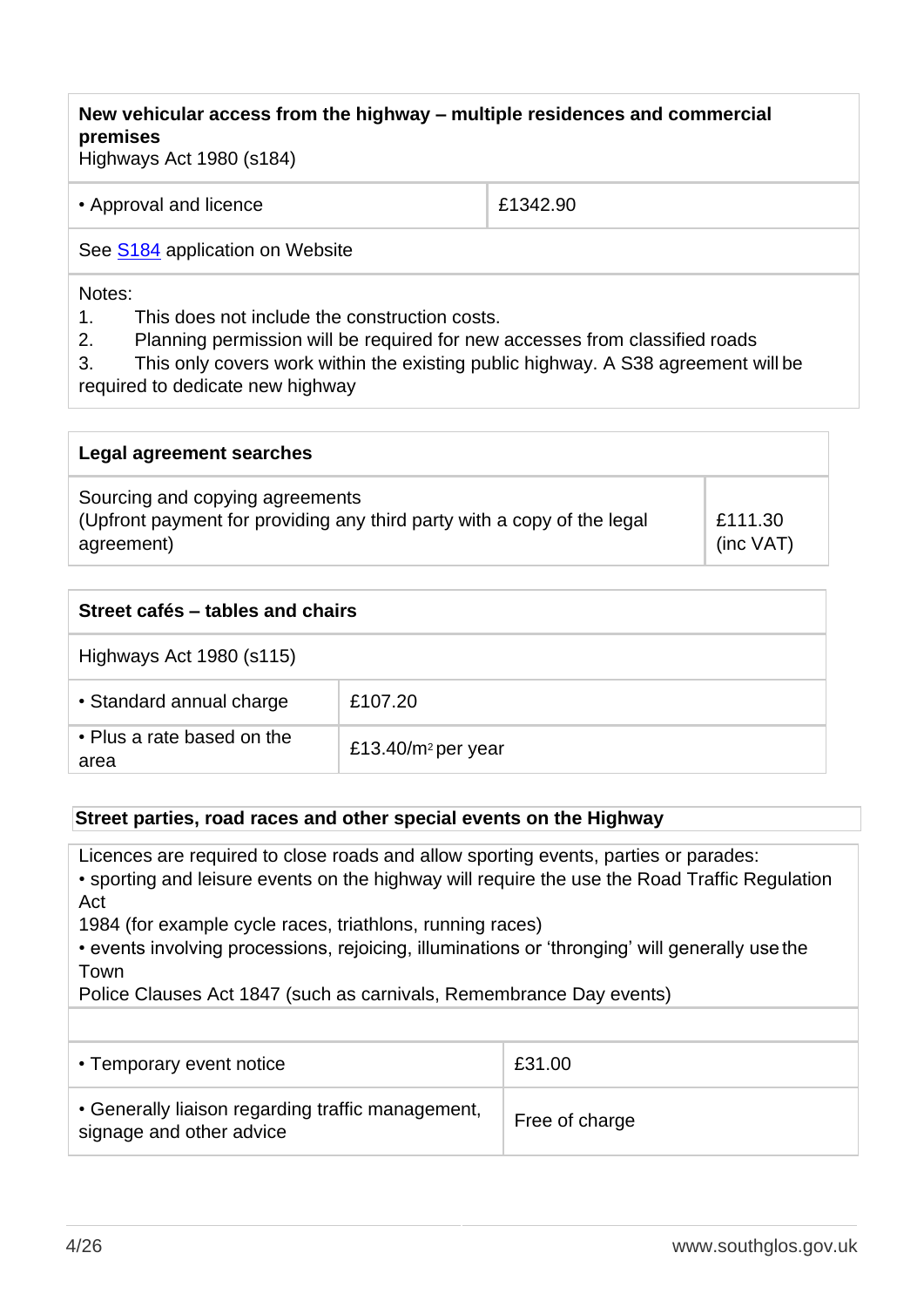### **New vehicular access from the highway – multiple residences and commercial premises**

Highways Act 1980 (s184)

| • Approval and licence | £1342.90 |
|------------------------|----------|
|                        |          |

See [S184](http://www.southglos.gov.uk/documents/Section-184-Licence-Application.pdf) application on Website

#### Notes:

1. This does not include the construction costs.

2. Planning permission will be required for new accesses from classified roads

3. This only covers work within the existing public highway. A S38 agreement will be

required to dedicate new highway

| Legal agreement searches                                                                                                 |                           |
|--------------------------------------------------------------------------------------------------------------------------|---------------------------|
| Sourcing and copying agreements<br>(Upfront payment for providing any third party with a copy of the legal<br>agreement) | £111.30<br>$(inc \, VAT)$ |

| Street cafés – tables and chairs   |                        |  |  |
|------------------------------------|------------------------|--|--|
| Highways Act 1980 (s115)           |                        |  |  |
| • Standard annual charge           | £107.20                |  |  |
| • Plus a rate based on the<br>area | £13.40/ $m^2$ per year |  |  |

#### **Street parties, road races and other special events on the Highway**

Licences are required to close roads and allow sporting events, parties or parades:

• sporting and leisure events on the highway will require the use the Road Traffic Regulation Act

1984 (for example cycle races, triathlons, running races)

• events involving processions, rejoicing, illuminations or 'thronging' will generally use the Town

Police Clauses Act 1847 (such as carnivals, Remembrance Day events)

| • Temporary event notice                                                      | £31.00         |
|-------------------------------------------------------------------------------|----------------|
| • Generally liaison regarding traffic management,<br>signage and other advice | Free of charge |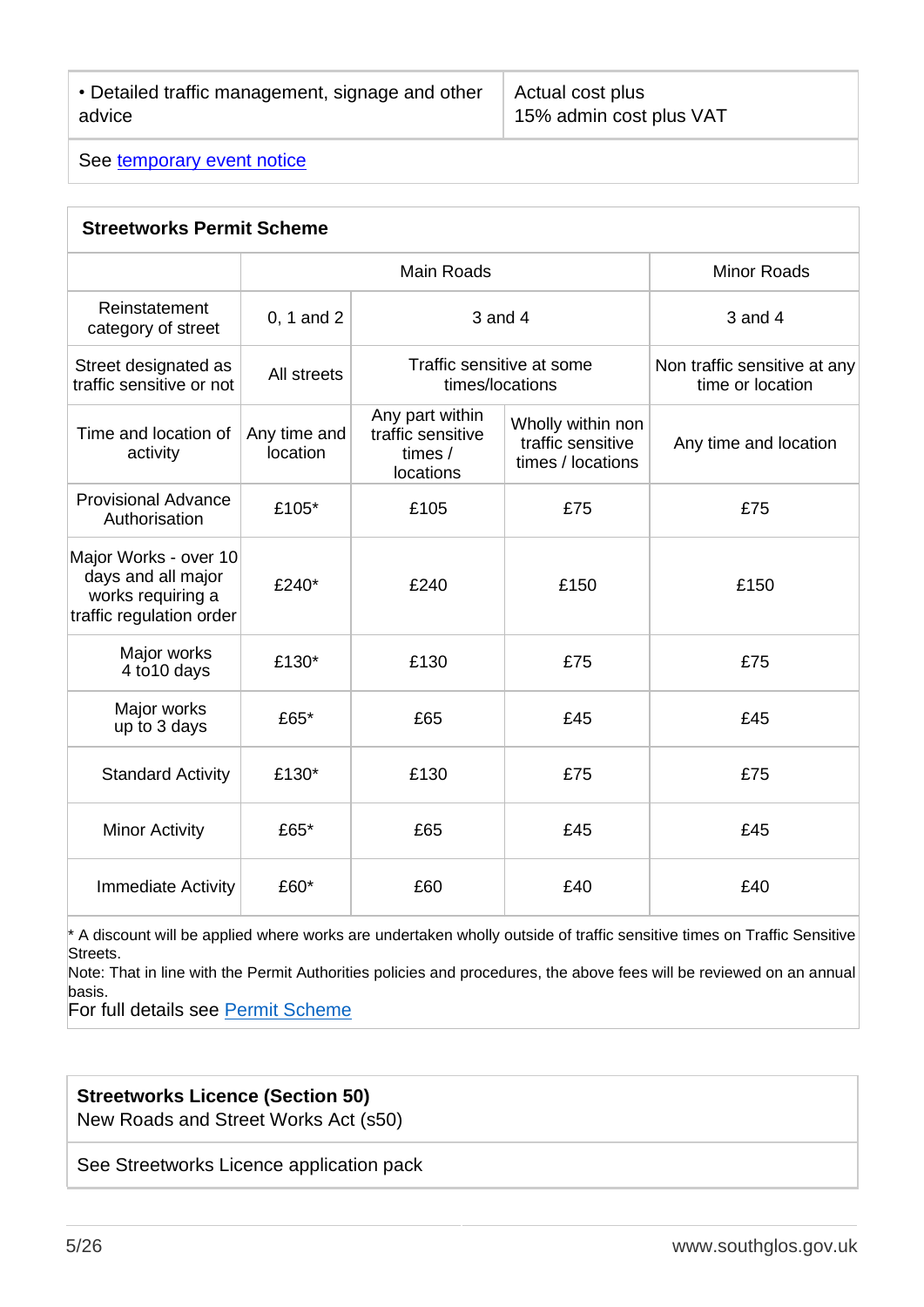Actual cost plus 15% admin cost plus VAT

See [temporary event notice](https://www.southglos.gov.uk/business/licences-and-street-trading/licence-alcohol-and-entertainment/licensing-temporary-event-notices/)

| <b>Streetworks Permit Scheme</b>                                                             |                          |                                                                |                                                             |                                                  |
|----------------------------------------------------------------------------------------------|--------------------------|----------------------------------------------------------------|-------------------------------------------------------------|--------------------------------------------------|
|                                                                                              | <b>Main Roads</b>        |                                                                |                                                             | <b>Minor Roads</b>                               |
| Reinstatement<br>category of street                                                          | 0, 1 and 2               | 3 and 4                                                        |                                                             | 3 and 4                                          |
| Street designated as<br>traffic sensitive or not                                             | All streets              | Traffic sensitive at some<br>times/locations                   |                                                             | Non traffic sensitive at any<br>time or location |
| Time and location of<br>activity                                                             | Any time and<br>location | Any part within<br>traffic sensitive<br>times $/$<br>locations | Wholly within non<br>traffic sensitive<br>times / locations | Any time and location                            |
| <b>Provisional Advance</b><br>Authorisation                                                  | £105*                    | £105                                                           | £75                                                         | £75                                              |
| Major Works - over 10<br>days and all major<br>works requiring a<br>traffic regulation order | £240*                    | £240                                                           | £150                                                        | £150                                             |
| Major works<br>4 to 10 days                                                                  | £130*                    | £130                                                           | £75                                                         | £75                                              |
| Major works<br>up to 3 days                                                                  | £65*                     | £65                                                            | £45                                                         | £45                                              |
| <b>Standard Activity</b>                                                                     | £130*                    | £130                                                           | £75                                                         | £75                                              |
| <b>Minor Activity</b>                                                                        | £65*                     | £65                                                            | £45                                                         | £45                                              |
| <b>Immediate Activity</b>                                                                    | £60*                     | £60                                                            | £40                                                         | £40                                              |

 $*$  A discount will be applied where works are undertaken wholly outside of traffic sensitive times on Traffic Sensitive Streets.

Note: That in line with the Permit Authorities policies and procedures, the above fees will be reviewed on an annual basis.

For full details see [Permit Scheme](https://consultations.southglos.gov.uk/gf2.ti/f/1026466/50239077.1/DOCX/-/South_Glos_Permit_Scheme_Final_5.docx)

#### **Streetworks Licence (Section 50)**

New Roads and Street Works Act (s50)

See Streetworks Licence application pack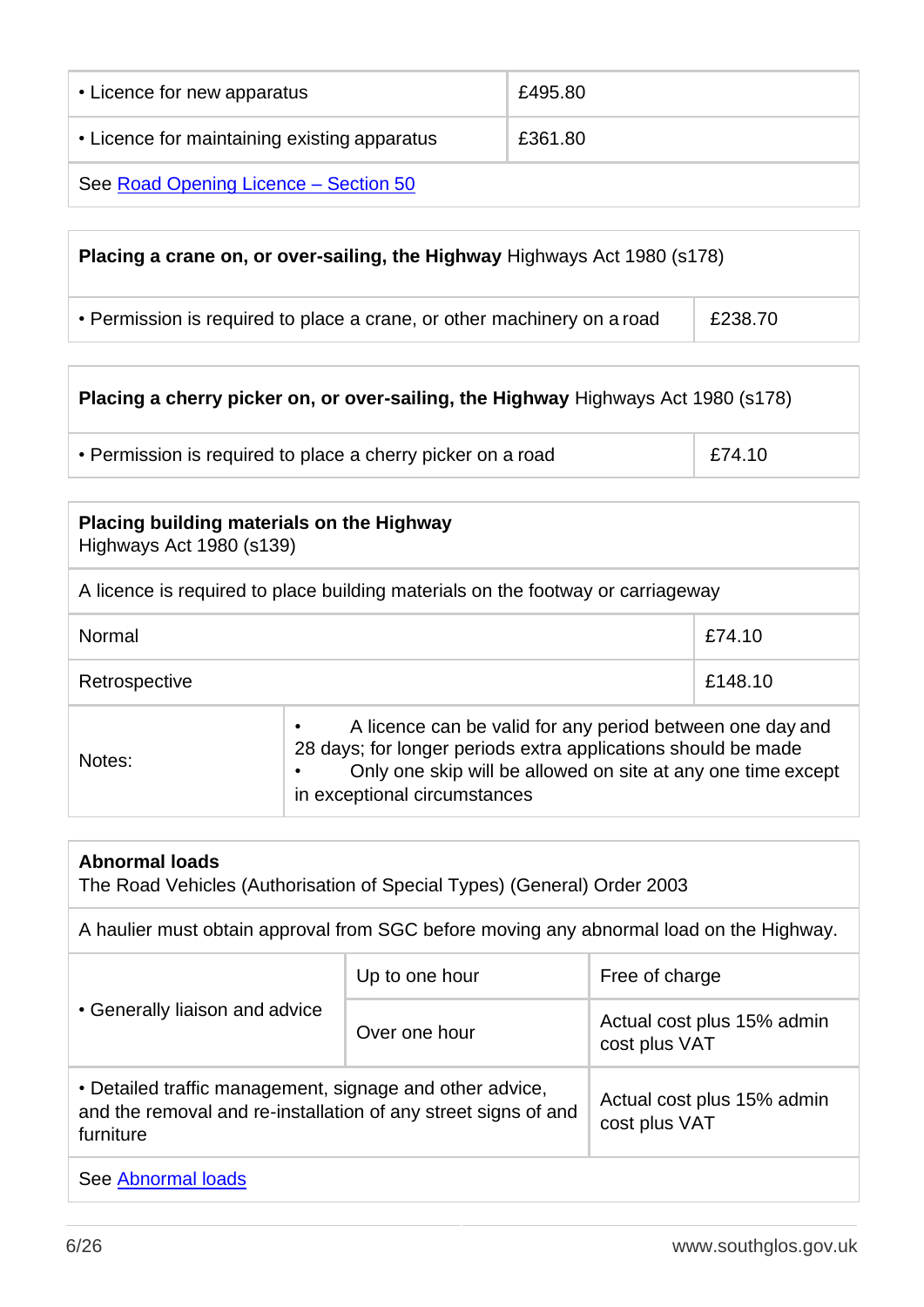| • Licence for new apparatus                  | £495.80 |
|----------------------------------------------|---------|
| • Licence for maintaining existing apparatus | £361.80 |
| See Road Opening Licence - Section 50        |         |

| Placing a crane on, or over-sailing, the Highway Highways Act 1980 (s178) |         |  |
|---------------------------------------------------------------------------|---------|--|
| • Permission is required to place a crane, or other machinery on a road   | £238.70 |  |

| <b>Placing a cherry picker on, or over-sailing, the Highway Highways Act 1980 (s178)</b> |        |  |
|------------------------------------------------------------------------------------------|--------|--|
| • Permission is required to place a cherry picker on a road                              | £74.10 |  |

| Placing building materials on the Highway<br>Highways Act 1980 (s139)           |                                                                                                                                                                                                                            |  |
|---------------------------------------------------------------------------------|----------------------------------------------------------------------------------------------------------------------------------------------------------------------------------------------------------------------------|--|
| A licence is required to place building materials on the footway or carriageway |                                                                                                                                                                                                                            |  |
| Normal<br>£74.10                                                                |                                                                                                                                                                                                                            |  |
| £148.10<br>Retrospective                                                        |                                                                                                                                                                                                                            |  |
| Notes:                                                                          | A licence can be valid for any period between one day and<br>28 days; for longer periods extra applications should be made<br>Only one skip will be allowed on site at any one time except<br>in exceptional circumstances |  |

| <b>Abnormal loads</b><br>The Road Vehicles (Authorisation of Special Types) (General) Order 2003                                        |                |                                             |  |
|-----------------------------------------------------------------------------------------------------------------------------------------|----------------|---------------------------------------------|--|
| A haulier must obtain approval from SGC before moving any abnormal load on the Highway.                                                 |                |                                             |  |
| • Generally liaison and advice                                                                                                          | Up to one hour | Free of charge                              |  |
|                                                                                                                                         | Over one hour  | Actual cost plus 15% admin<br>cost plus VAT |  |
| • Detailed traffic management, signage and other advice,<br>and the removal and re-installation of any street signs of and<br>furniture |                | Actual cost plus 15% admin<br>cost plus VAT |  |
| See Abnormal loads                                                                                                                      |                |                                             |  |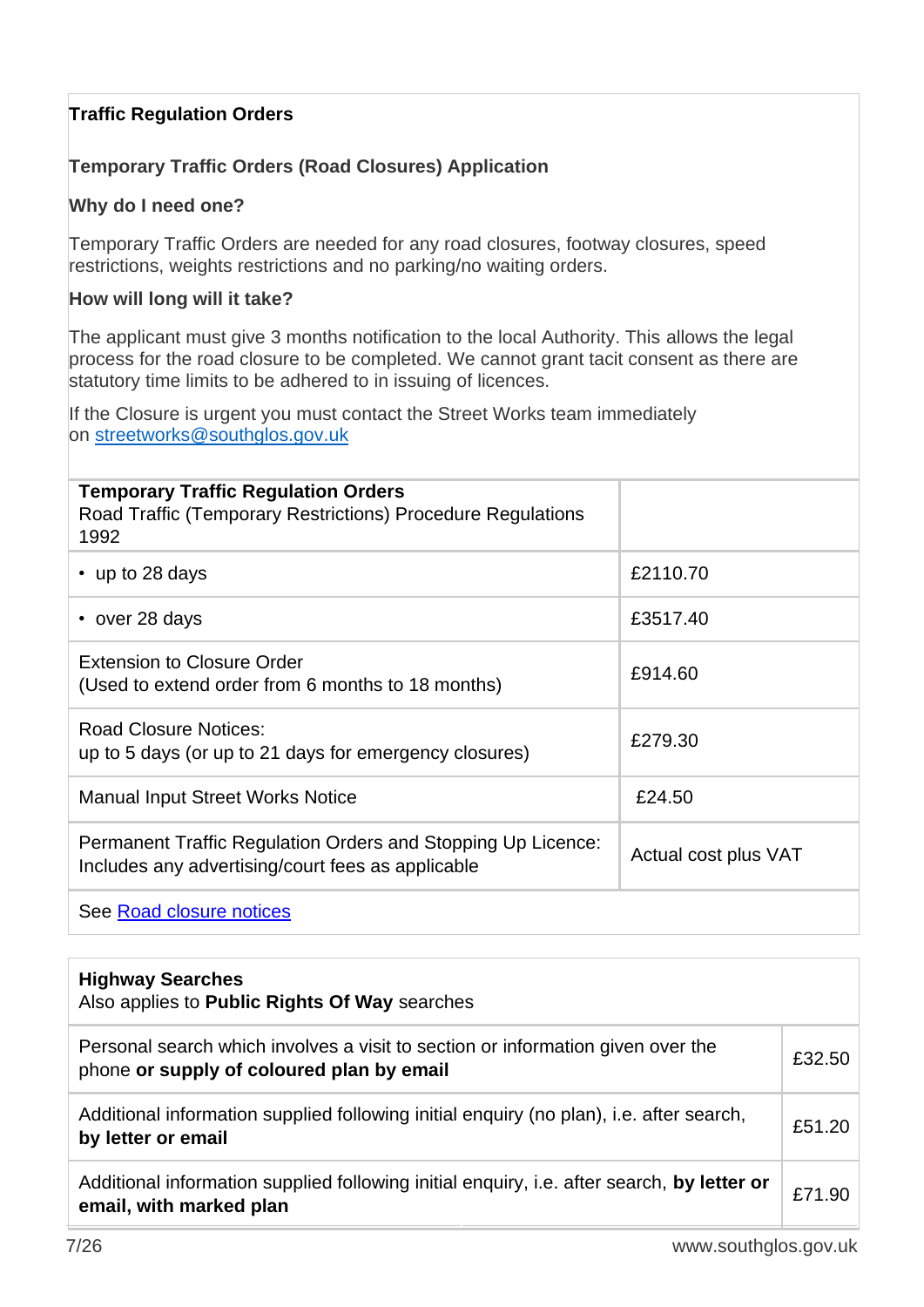#### **Traffic Regulation Orders**

#### **Temporary Traffic Orders (Road Closures) Application**

#### **Why do I need one?**

Temporary Traffic Orders are needed for any road closures, footway closures, speed restrictions, weights restrictions and no parking/no waiting orders.

#### **How will long will it take?**

The applicant must give 3 months notification to the local Authority. This allows the legal process for the road closure to be completed. We cannot grant tacit consent as there are statutory time limits to be adhered to in issuing of licences.

If the Closure is urgent you must contact the Street Works team immediately on [streetworks@southglos.gov.uk](mailto:streetworks@southglos.gov.uk)

| <b>Temporary Traffic Regulation Orders</b><br>Road Traffic (Temporary Restrictions) Procedure Regulations<br>1992 |                      |
|-------------------------------------------------------------------------------------------------------------------|----------------------|
| • up to 28 days                                                                                                   | £2110.70             |
| • over 28 days                                                                                                    | £3517.40             |
| <b>Extension to Closure Order</b><br>(Used to extend order from 6 months to 18 months)                            | £914.60              |
| <b>Road Closure Notices:</b><br>up to 5 days (or up to 21 days for emergency closures)                            | £279.30              |
| <b>Manual Input Street Works Notice</b>                                                                           | £24.50               |
| Permanent Traffic Regulation Orders and Stopping Up Licence:<br>Includes any advertising/court fees as applicable | Actual cost plus VAT |
| See Road closure notices                                                                                          |                      |

| <b>Highway Searches</b><br>Also applies to <b>Public Rights Of Way</b> searches                                              |        |
|------------------------------------------------------------------------------------------------------------------------------|--------|
| Personal search which involves a visit to section or information given over the<br>phone or supply of coloured plan by email | £32.50 |
| Additional information supplied following initial enquiry (no plan), i.e. after search,<br>by letter or email                | £51.20 |
| Additional information supplied following initial enquiry, i.e. after search, by letter or<br>email, with marked plan        | £71.90 |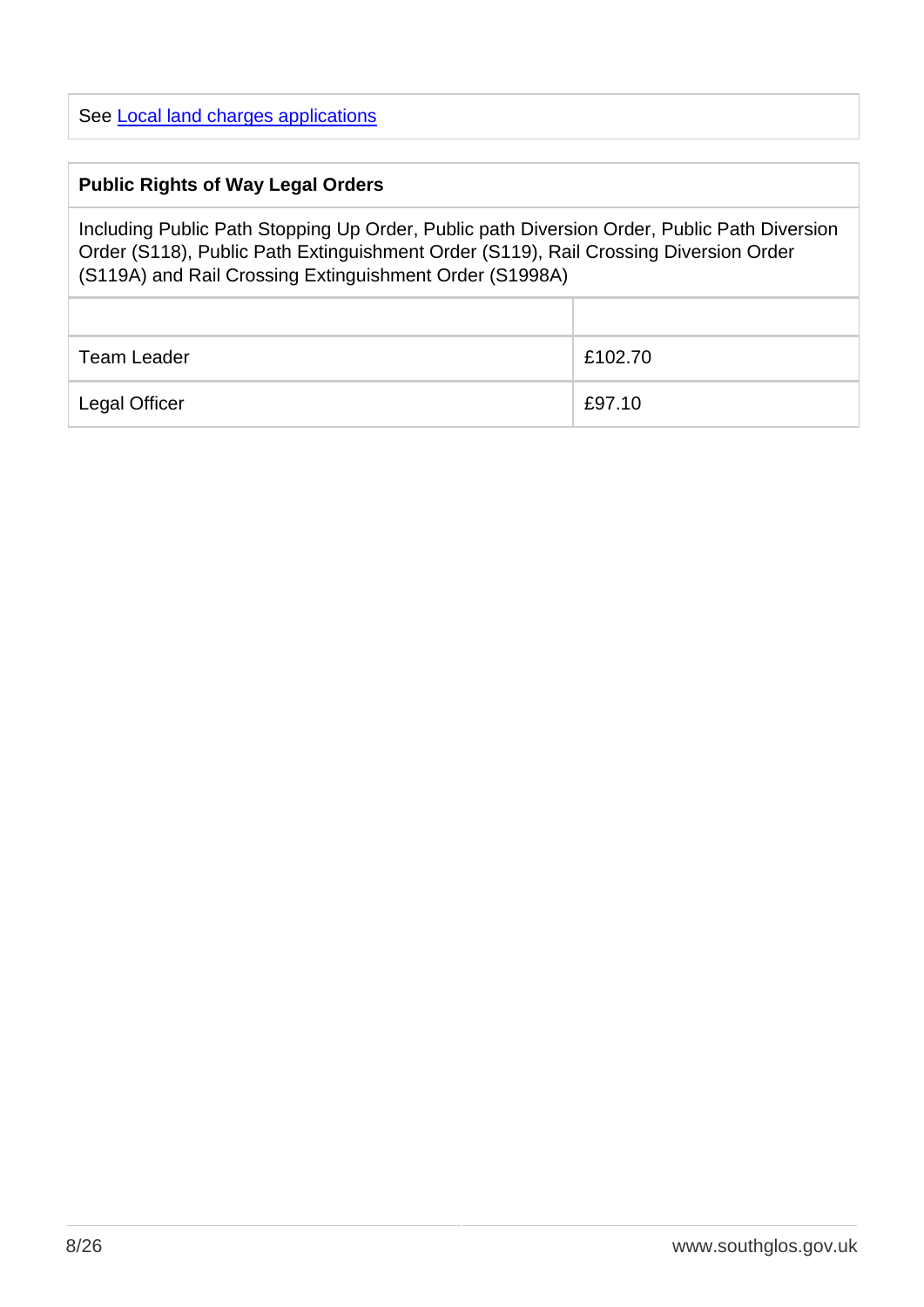See [Local land charges applications](https://www.southglos.gov.uk/environment-and-planning/planning/planning-applications-planning/local-land-charges-personal-search/local-land-charges-applications/)

#### **Public Rights of Way Legal Orders**

Including Public Path Stopping Up Order, Public path Diversion Order, Public Path Diversion Order (S118), Public Path Extinguishment Order (S119), Rail Crossing Diversion Order (S119A) and Rail Crossing Extinguishment Order (S1998A)

| Team Leader          | £102.70 |
|----------------------|---------|
| <b>Legal Officer</b> | £97.10  |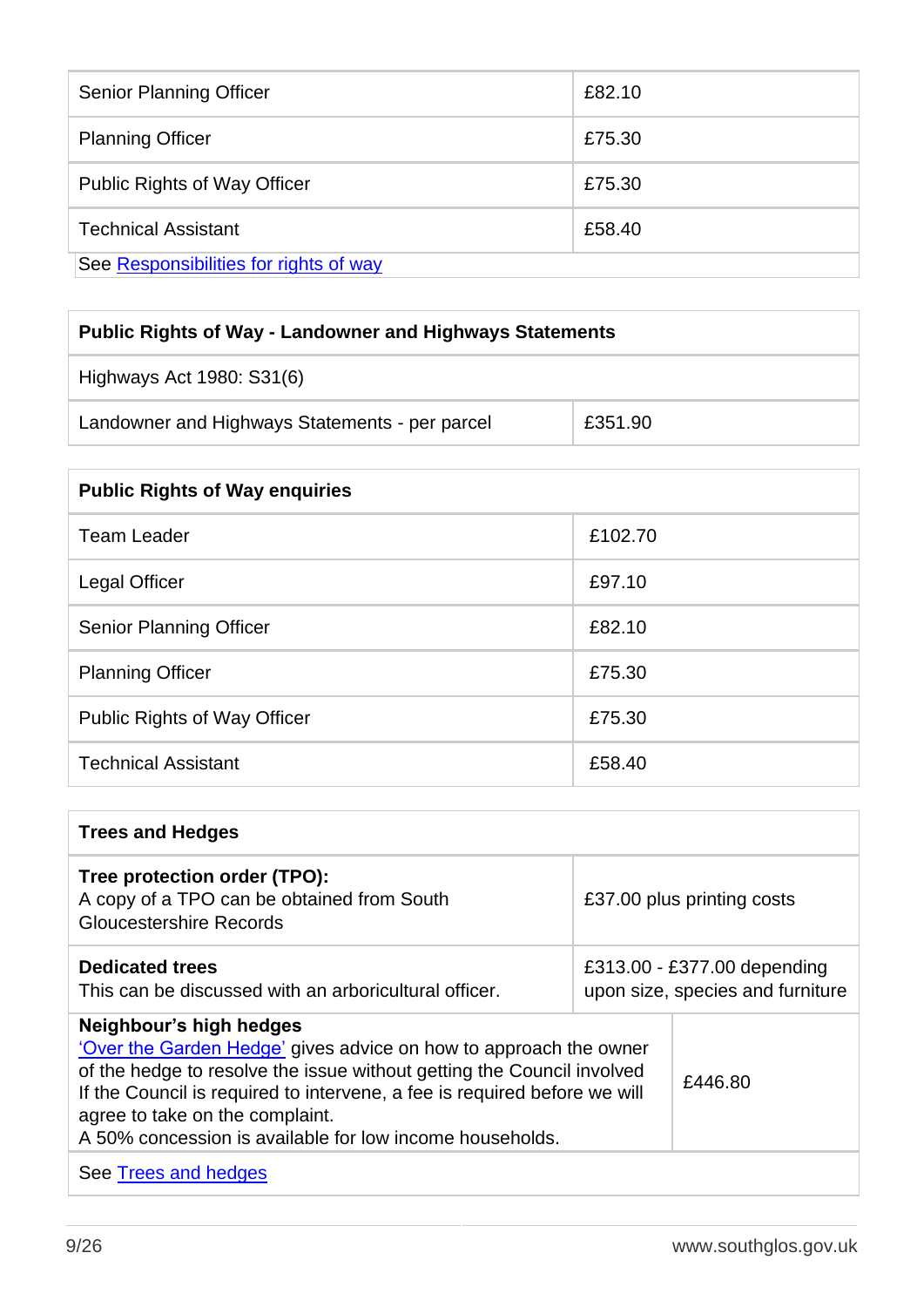| <b>Senior Planning Officer</b>         | £82.10 |  |
|----------------------------------------|--------|--|
| <b>Planning Officer</b>                | £75.30 |  |
| <b>Public Rights of Way Officer</b>    | £75.30 |  |
| <b>Technical Assistant</b>             | £58.40 |  |
| See Responsibilities for rights of way |        |  |

| <b>Public Rights of Way - Landowner and Highways Statements</b> |         |  |
|-----------------------------------------------------------------|---------|--|
| Highways Act 1980: S31(6)                                       |         |  |
| Landowner and Highways Statements - per parcel                  | £351.90 |  |

| <b>Public Rights of Way enquiries</b> |         |  |
|---------------------------------------|---------|--|
| <b>Team Leader</b>                    | £102.70 |  |
| Legal Officer                         | £97.10  |  |
| <b>Senior Planning Officer</b>        | £82.10  |  |
| <b>Planning Officer</b>               | £75.30  |  |
| Public Rights of Way Officer          | £75.30  |  |
| <b>Technical Assistant</b>            | £58.40  |  |

| <b>Trees and Hedges</b>                                                                                                                                                                                                                                                                                                                            |                                                                 |         |
|----------------------------------------------------------------------------------------------------------------------------------------------------------------------------------------------------------------------------------------------------------------------------------------------------------------------------------------------------|-----------------------------------------------------------------|---------|
| Tree protection order (TPO):<br>A copy of a TPO can be obtained from South<br>Gloucestershire Records                                                                                                                                                                                                                                              | £37.00 plus printing costs                                      |         |
| <b>Dedicated trees</b><br>This can be discussed with an arboricultural officer.                                                                                                                                                                                                                                                                    | £313.00 - £377.00 depending<br>upon size, species and furniture |         |
| Neighbour's high hedges<br>'Over the Garden Hedge' gives advice on how to approach the owner<br>of the hedge to resolve the issue without getting the Council involved<br>If the Council is required to intervene, a fee is required before we will<br>agree to take on the complaint.<br>A 50% concession is available for low income households. |                                                                 | £446.80 |
| See Trees and hedges                                                                                                                                                                                                                                                                                                                               |                                                                 |         |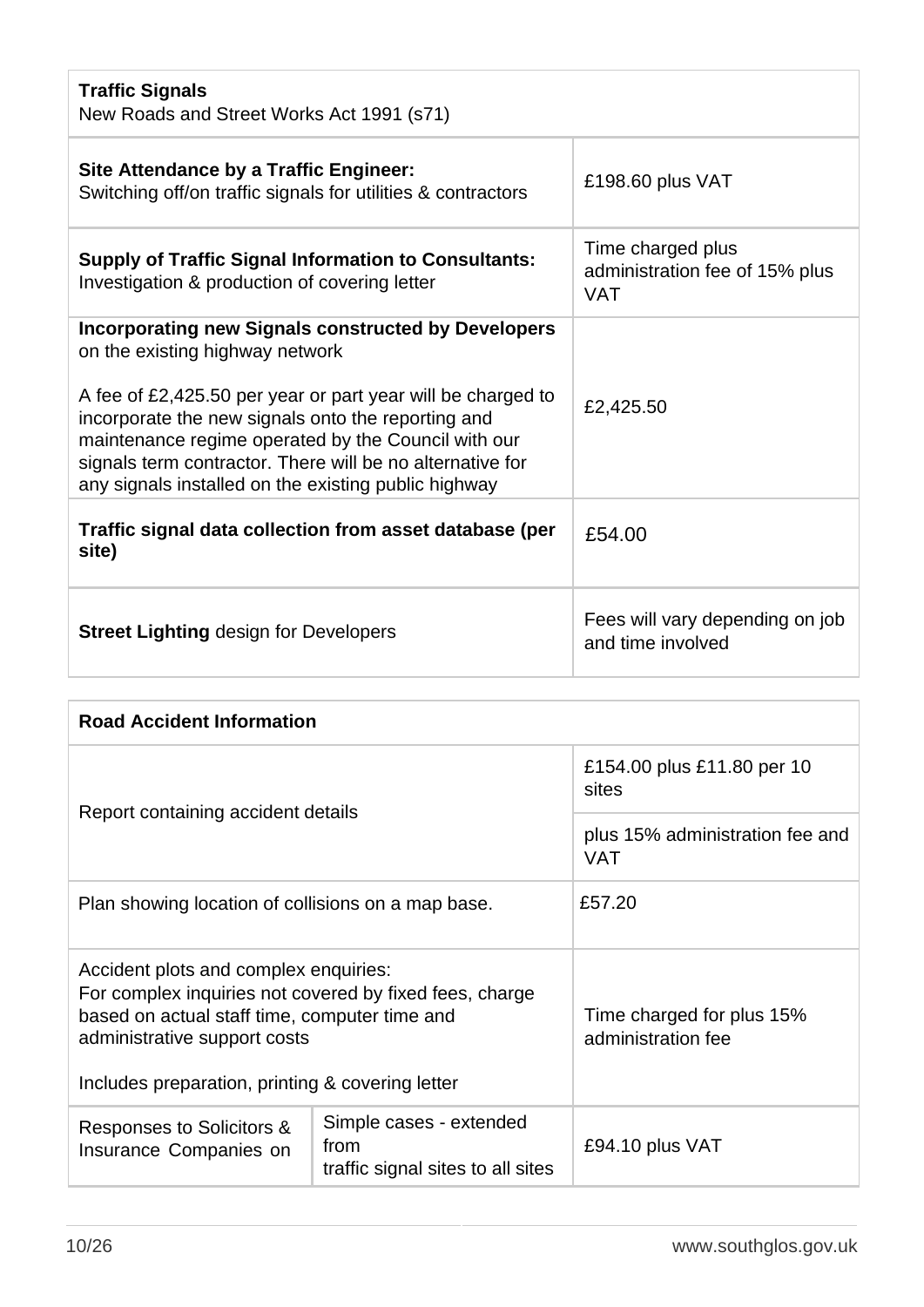| <b>Traffic Signals</b><br>New Roads and Street Works Act 1991 (s71)                                                                                                                                                                                                                                                                                                                            |                                                                   |  |
|------------------------------------------------------------------------------------------------------------------------------------------------------------------------------------------------------------------------------------------------------------------------------------------------------------------------------------------------------------------------------------------------|-------------------------------------------------------------------|--|
| <b>Site Attendance by a Traffic Engineer:</b><br>Switching off/on traffic signals for utilities & contractors                                                                                                                                                                                                                                                                                  | £198.60 plus VAT                                                  |  |
| <b>Supply of Traffic Signal Information to Consultants:</b><br>Investigation & production of covering letter                                                                                                                                                                                                                                                                                   | Time charged plus<br>administration fee of 15% plus<br><b>VAT</b> |  |
| <b>Incorporating new Signals constructed by Developers</b><br>on the existing highway network<br>A fee of £2,425.50 per year or part year will be charged to<br>incorporate the new signals onto the reporting and<br>maintenance regime operated by the Council with our<br>signals term contractor. There will be no alternative for<br>any signals installed on the existing public highway | £2,425.50                                                         |  |
| Traffic signal data collection from asset database (per<br>site)                                                                                                                                                                                                                                                                                                                               | £54.00                                                            |  |
| <b>Street Lighting design for Developers</b>                                                                                                                                                                                                                                                                                                                                                   | Fees will vary depending on job<br>and time involved              |  |

| <b>Road Accident Information</b>                                                                                                                                                                                                      |                                                                      |                                                 |
|---------------------------------------------------------------------------------------------------------------------------------------------------------------------------------------------------------------------------------------|----------------------------------------------------------------------|-------------------------------------------------|
| Report containing accident details                                                                                                                                                                                                    |                                                                      | £154.00 plus £11.80 per 10<br>sites             |
|                                                                                                                                                                                                                                       |                                                                      | plus 15% administration fee and<br><b>VAT</b>   |
| Plan showing location of collisions on a map base.                                                                                                                                                                                    |                                                                      | £57.20                                          |
| Accident plots and complex enquiries:<br>For complex inquiries not covered by fixed fees, charge<br>based on actual staff time, computer time and<br>administrative support costs<br>Includes preparation, printing & covering letter |                                                                      | Time charged for plus 15%<br>administration fee |
| Responses to Solicitors &<br>Insurance Companies on                                                                                                                                                                                   | Simple cases - extended<br>from<br>traffic signal sites to all sites | £94.10 plus VAT                                 |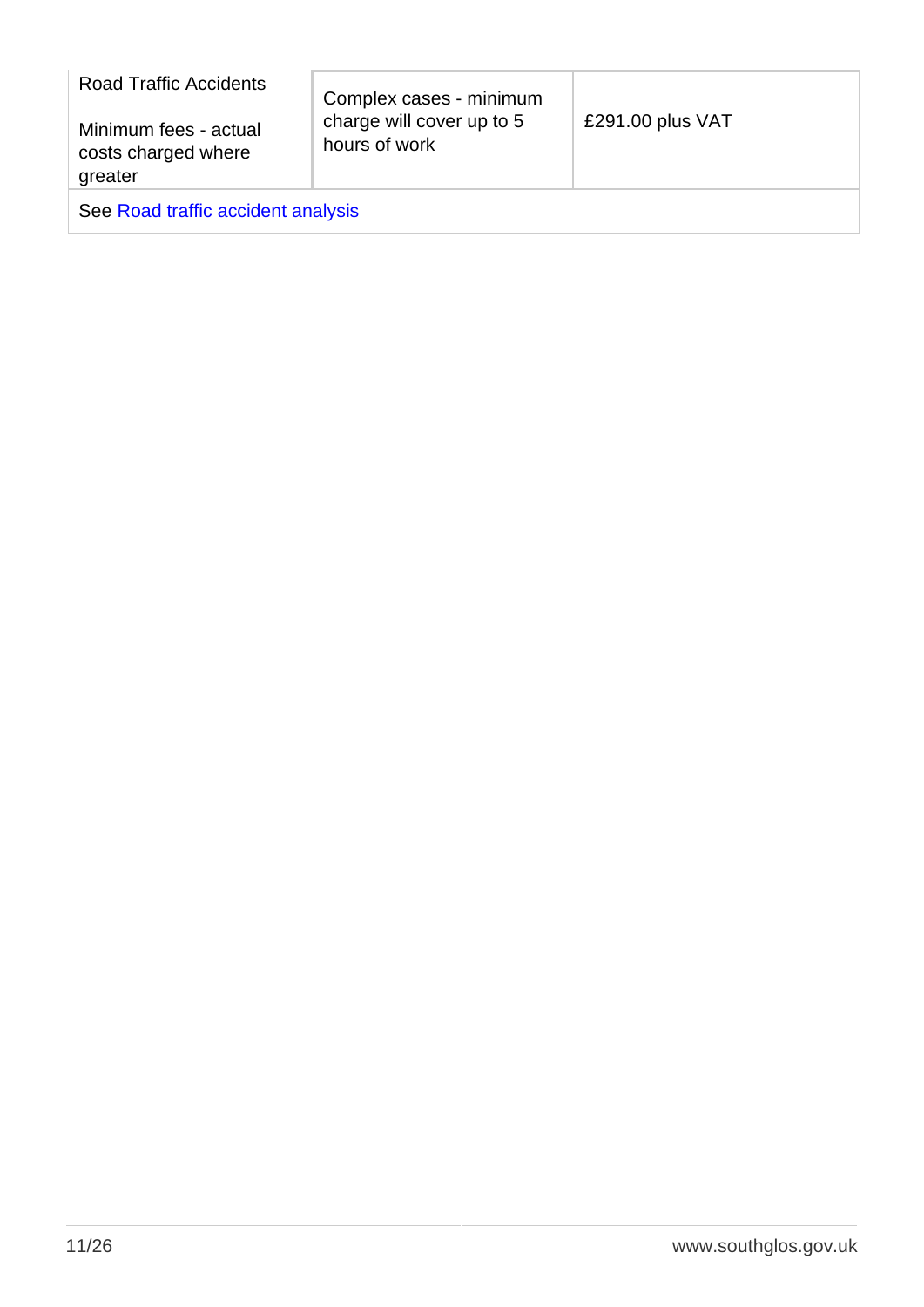| <b>Road Traffic Accidents</b>                           | Complex cases - minimum                    |                  |
|---------------------------------------------------------|--------------------------------------------|------------------|
| Minimum fees - actual<br>costs charged where<br>greater | charge will cover up to 5<br>hours of work | £291.00 plus VAT |
| See Road traffic accident analysis                      |                                            |                  |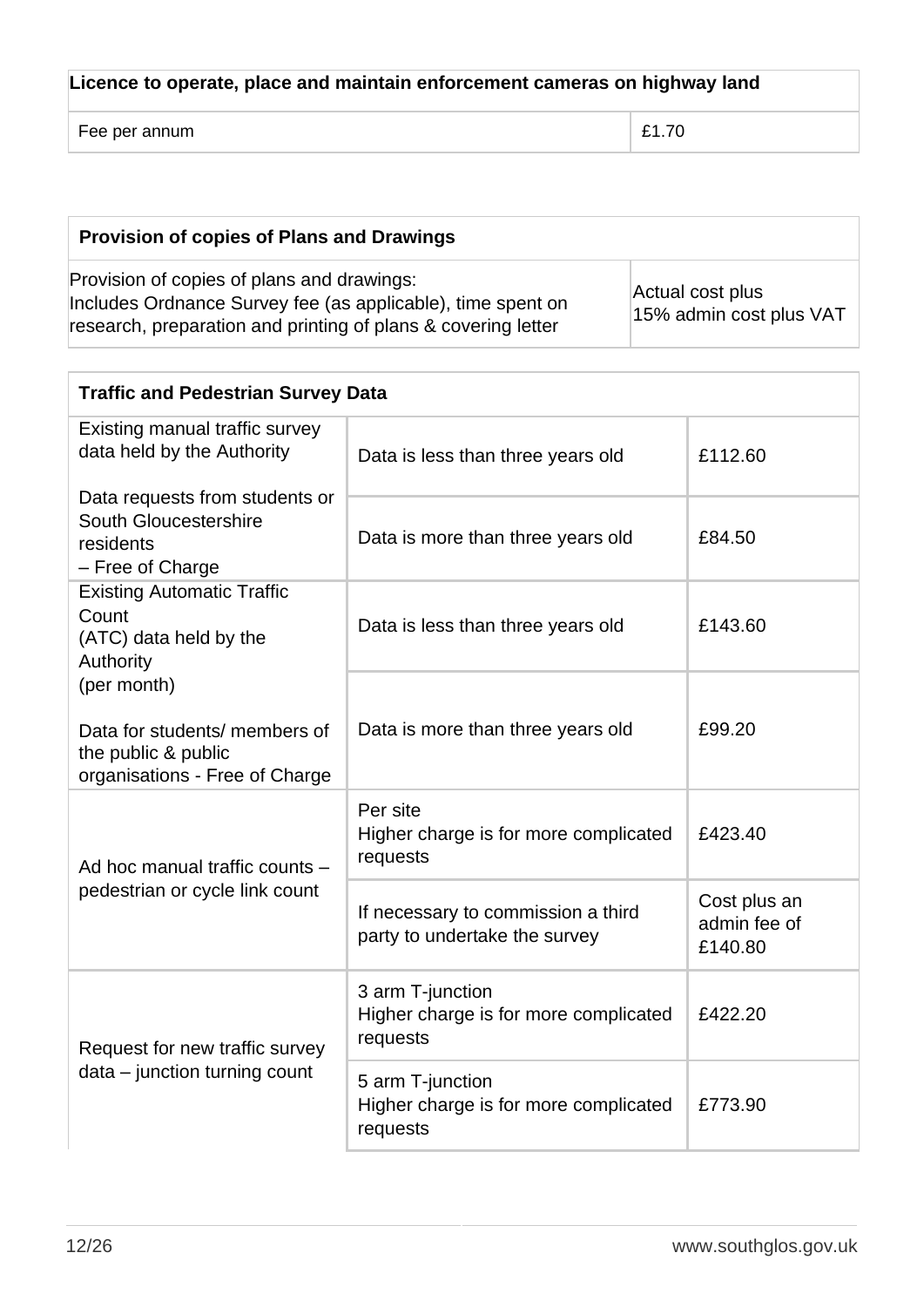| Licence to operate, place and maintain enforcement cameras on highway land |       |  |
|----------------------------------------------------------------------------|-------|--|
| Fee per annum                                                              | £1.70 |  |

| Provision of copies of Plans and Drawings                                                                                                                                  |                                             |
|----------------------------------------------------------------------------------------------------------------------------------------------------------------------------|---------------------------------------------|
| Provision of copies of plans and drawings:<br>Includes Ordnance Survey fee (as applicable), time spent on<br>research, preparation and printing of plans & covering letter | Actual cost plus<br>15% admin cost plus VAT |

| <b>Traffic and Pedestrian Survey Data</b>                                                             |                                                                       |                                         |
|-------------------------------------------------------------------------------------------------------|-----------------------------------------------------------------------|-----------------------------------------|
| Existing manual traffic survey<br>data held by the Authority                                          | Data is less than three years old                                     | £112.60                                 |
| Data requests from students or<br>South Gloucestershire<br>residents<br>- Free of Charge              | Data is more than three years old                                     | £84.50                                  |
| <b>Existing Automatic Traffic</b><br>Count<br>(ATC) data held by the<br>Authority                     | Data is less than three years old                                     | £143.60                                 |
| (per month)<br>Data for students/ members of<br>the public & public<br>organisations - Free of Charge | Data is more than three years old                                     | £99.20                                  |
| Ad hoc manual traffic counts -                                                                        | Per site<br>Higher charge is for more complicated<br>requests         | £423.40                                 |
| pedestrian or cycle link count                                                                        | If necessary to commission a third<br>party to undertake the survey   | Cost plus an<br>admin fee of<br>£140.80 |
| Request for new traffic survey                                                                        | 3 arm T-junction<br>Higher charge is for more complicated<br>requests | £422.20                                 |
| data - junction turning count                                                                         | 5 arm T-junction<br>Higher charge is for more complicated<br>requests | £773.90                                 |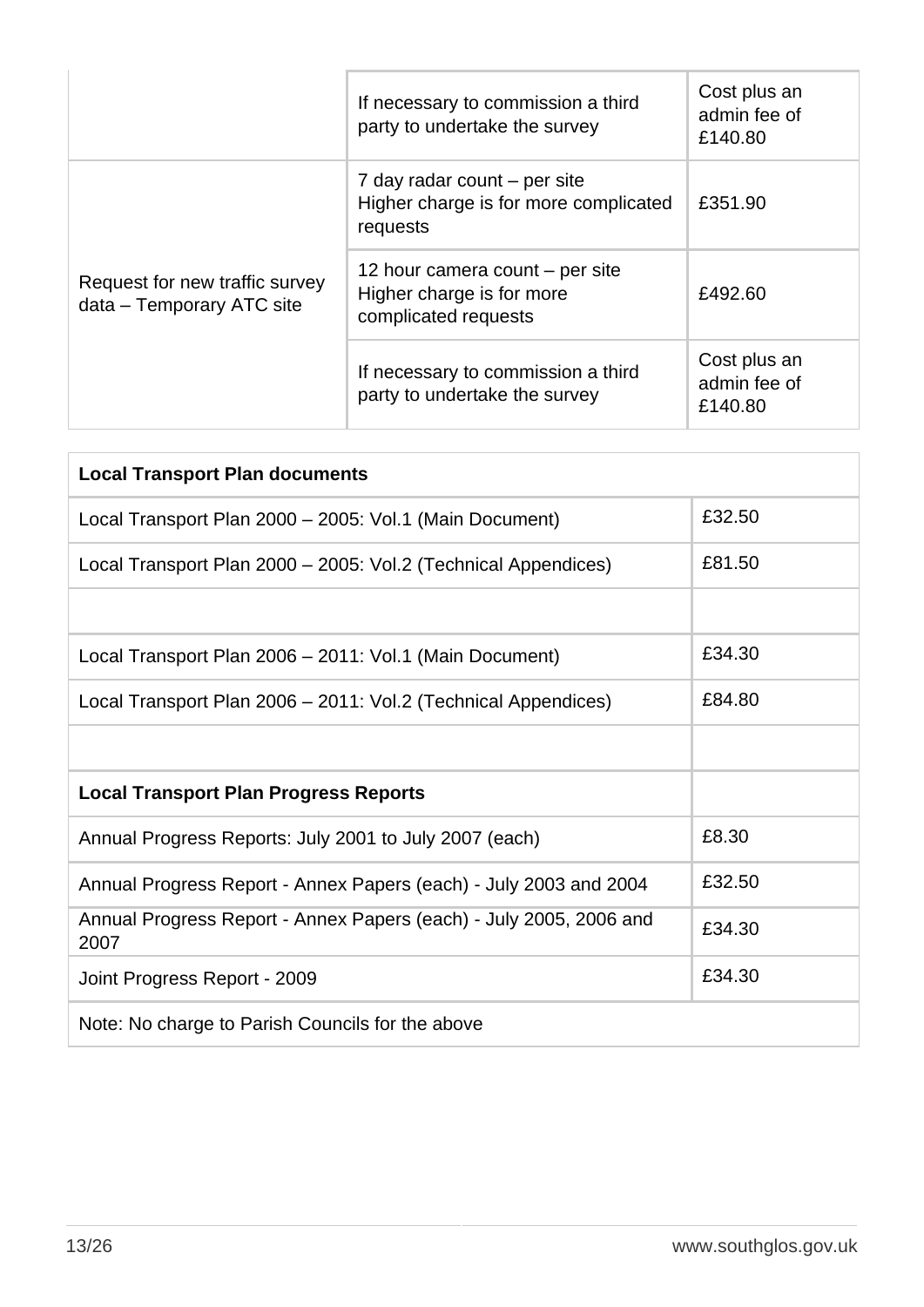|                                                             | If necessary to commission a third<br>party to undertake the survey                  | Cost plus an<br>admin fee of<br>£140.80 |
|-------------------------------------------------------------|--------------------------------------------------------------------------------------|-----------------------------------------|
| Request for new traffic survey<br>data – Temporary ATC site | 7 day radar count – per site<br>Higher charge is for more complicated<br>requests    | £351.90                                 |
|                                                             | 12 hour camera count – per site<br>Higher charge is for more<br>complicated requests | £492.60                                 |
|                                                             | If necessary to commission a third<br>party to undertake the survey                  | Cost plus an<br>admin fee of<br>£140.80 |

| <b>Local Transport Plan documents</b>                                      |        |  |
|----------------------------------------------------------------------------|--------|--|
| Local Transport Plan 2000 - 2005: Vol.1 (Main Document)                    | £32.50 |  |
| Local Transport Plan 2000 - 2005: Vol.2 (Technical Appendices)             | £81.50 |  |
|                                                                            |        |  |
| Local Transport Plan 2006 - 2011: Vol.1 (Main Document)                    | £34.30 |  |
| Local Transport Plan 2006 - 2011: Vol.2 (Technical Appendices)             | £84.80 |  |
|                                                                            |        |  |
| <b>Local Transport Plan Progress Reports</b>                               |        |  |
| Annual Progress Reports: July 2001 to July 2007 (each)                     | £8.30  |  |
| Annual Progress Report - Annex Papers (each) - July 2003 and 2004          | £32.50 |  |
| Annual Progress Report - Annex Papers (each) - July 2005, 2006 and<br>2007 | £34.30 |  |
| Joint Progress Report - 2009                                               | £34.30 |  |
| Note: No charge to Parish Councils for the above                           |        |  |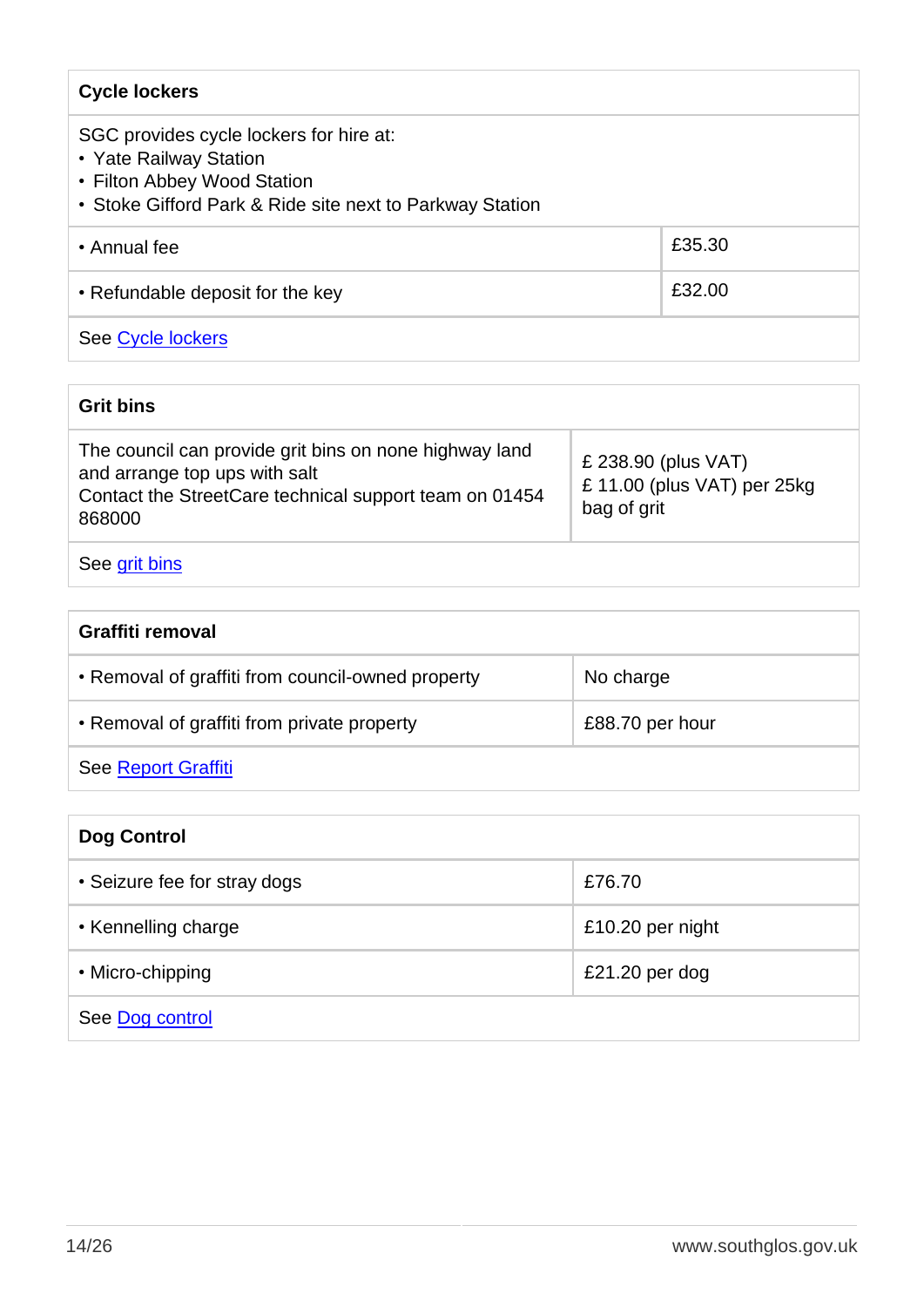| <b>Cycle lockers</b>                                                                                                                                         |        |
|--------------------------------------------------------------------------------------------------------------------------------------------------------------|--------|
| SGC provides cycle lockers for hire at:<br>• Yate Railway Station<br>• Filton Abbey Wood Station<br>• Stoke Gifford Park & Ride site next to Parkway Station |        |
| • Annual fee                                                                                                                                                 | £35.30 |
| • Refundable deposit for the key                                                                                                                             | £32.00 |
| See Cycle lockers                                                                                                                                            |        |

#### **Grit bins**

| The council can provide grit bins on none highway land<br>£ 238.90 (plus VAT)<br>and arrange top ups with salt<br>£11.00 (plus VAT) per 25kg<br>Contact the StreetCare technical support team on 01454<br>bag of grit | Care mail black |  |
|-----------------------------------------------------------------------------------------------------------------------------------------------------------------------------------------------------------------------|-----------------|--|
|                                                                                                                                                                                                                       | 868000          |  |

#### See <u>grit bins</u>

| Graffiti removal                                  |                 |  |
|---------------------------------------------------|-----------------|--|
| • Removal of graffiti from council-owned property | No charge       |  |
| • Removal of graffiti from private property       | £88.70 per hour |  |
| <b>See Report Graffiti</b>                        |                 |  |

| <b>Dog Control</b>           |                  |  |
|------------------------------|------------------|--|
| • Seizure fee for stray dogs | £76.70           |  |
| • Kennelling charge          | £10.20 per night |  |
| • Micro-chipping             | £21.20 per dog   |  |
| See Dog control              |                  |  |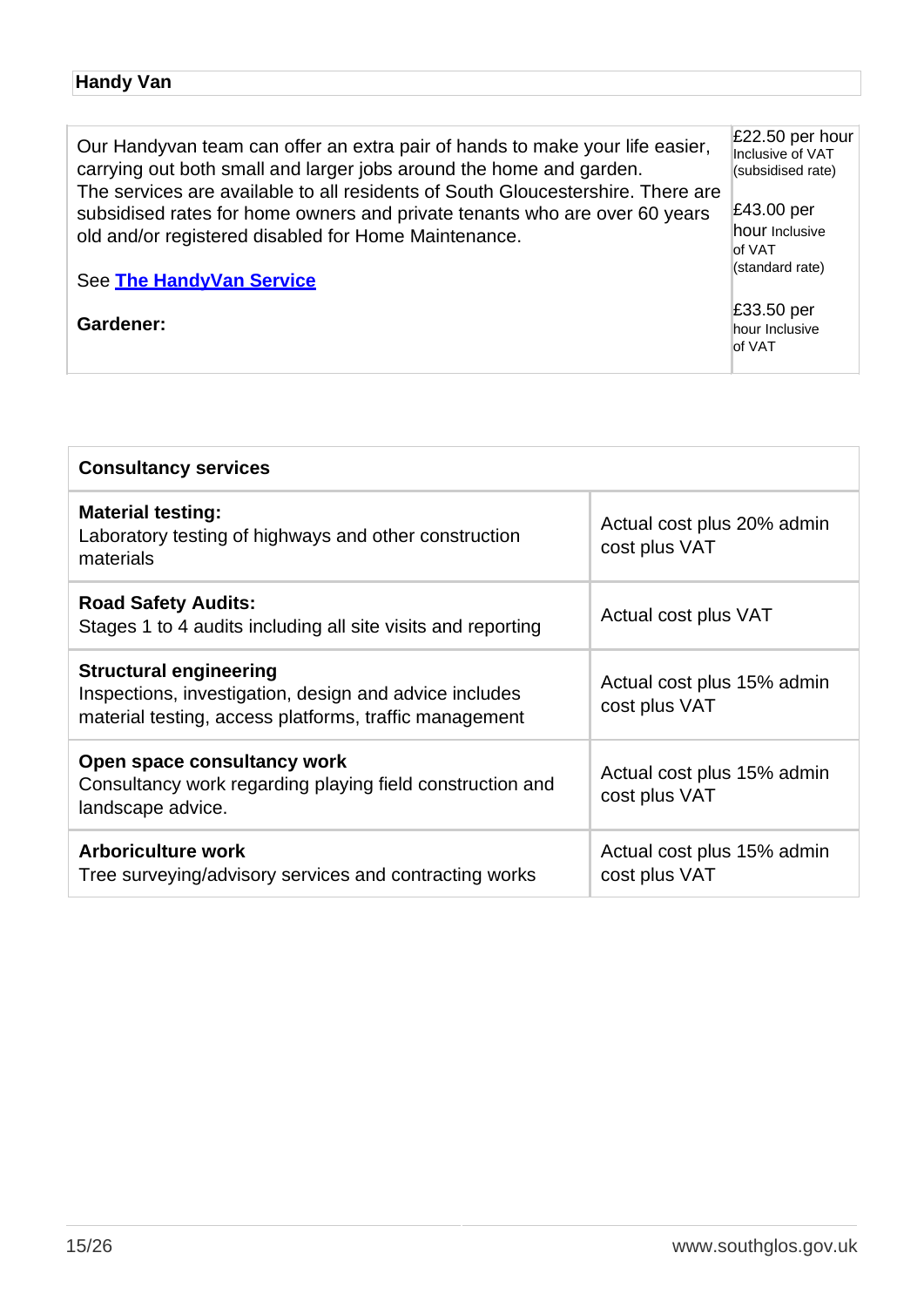#### **Handy Van**

£22.50 per hour Our Handyvan team can offer an extra pair of hands to make your life easier, carrying out both small and larger jobs around the home and garden. The services are available to all residents of South Gloucestershire. There are subsidised rates for home owners and private tenants who are over 60 years old and/or registered disabled for Home Maintenance.

See **[The HandyVan Service](http://www.southglos.gov.uk/housing/improvements-and-repairs/the-south-gloucestershire-handy-van-scheme/)**

**Gardener:**

Inclusive of VAT (subsidised rate) £43.00 per hour Inclusive of VAT (standard rate)

£33.50 per hour Inclusive of VAT

| <b>Consultancy services</b>                                                                                                                       |                                             |
|---------------------------------------------------------------------------------------------------------------------------------------------------|---------------------------------------------|
| <b>Material testing:</b><br>Laboratory testing of highways and other construction<br>materials                                                    | Actual cost plus 20% admin<br>cost plus VAT |
| <b>Road Safety Audits:</b><br>Stages 1 to 4 audits including all site visits and reporting                                                        | Actual cost plus VAT                        |
| <b>Structural engineering</b><br>Inspections, investigation, design and advice includes<br>material testing, access platforms, traffic management | Actual cost plus 15% admin<br>cost plus VAT |
| Open space consultancy work<br>Consultancy work regarding playing field construction and<br>landscape advice.                                     | Actual cost plus 15% admin<br>cost plus VAT |
| <b>Arboriculture work</b><br>Tree surveying/advisory services and contracting works                                                               | Actual cost plus 15% admin<br>cost plus VAT |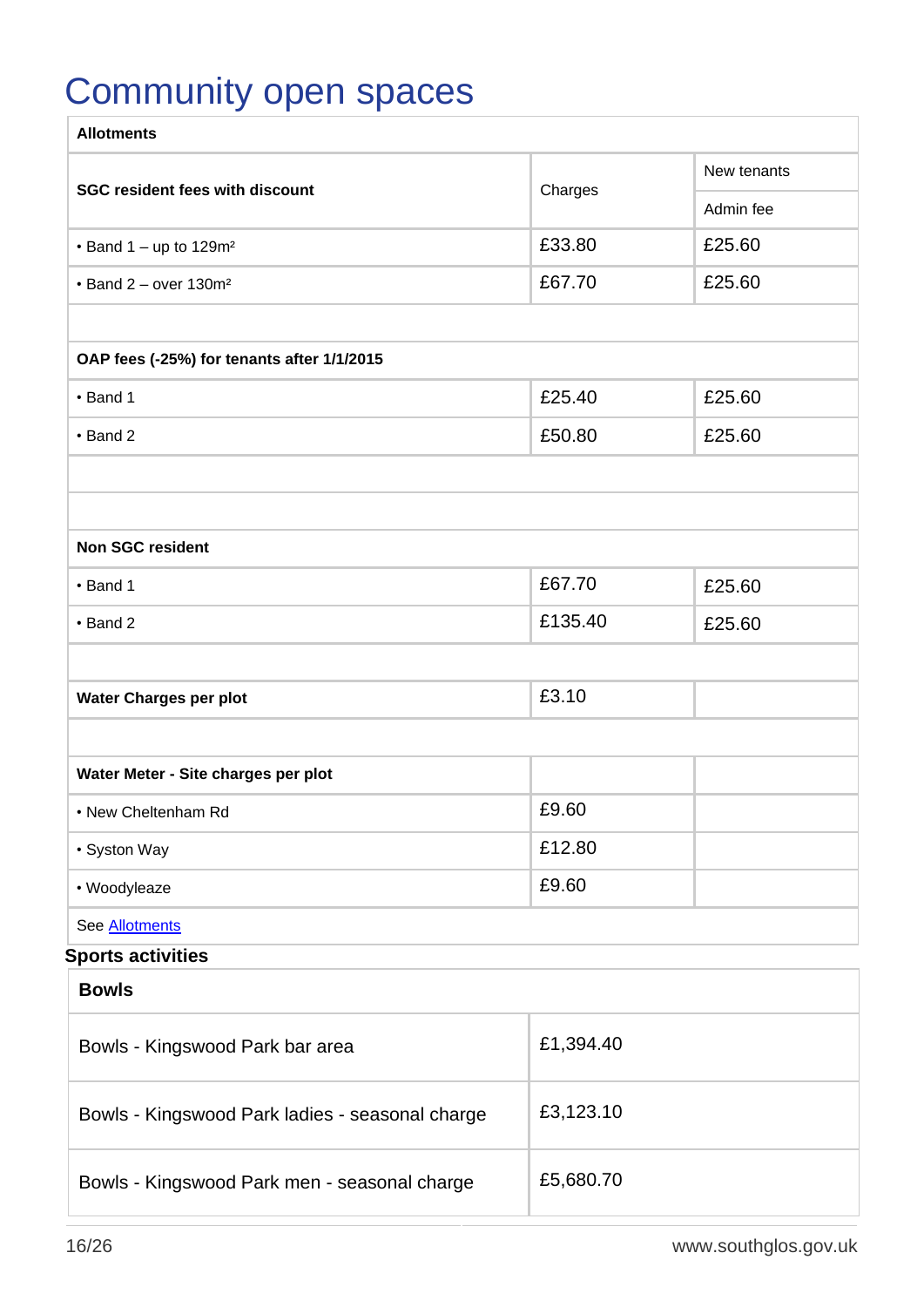## <span id="page-16-0"></span>Community open spaces

| <b>Allotments</b>                                 |             |           |
|---------------------------------------------------|-------------|-----------|
| <b>SGC resident fees with discount</b><br>Charges | New tenants |           |
|                                                   |             | Admin fee |
| $\cdot$ Band 1 – up to 129m <sup>2</sup>          | £33.80      | £25.60    |
| $\cdot$ Band 2 - over 130m <sup>2</sup>           | £67.70      | £25.60    |
|                                                   |             |           |
| OAP fees (-25%) for tenants after 1/1/2015        |             |           |
| • Band 1                                          | £25.40      | £25.60    |
| • Band 2                                          | £50.80      | £25.60    |
|                                                   |             |           |
|                                                   |             |           |
| <b>Non SGC resident</b>                           |             |           |
| • Band 1                                          | £67.70      | £25.60    |
| $\cdot$ Band 2                                    | £135.40     | £25.60    |
|                                                   |             |           |
| Water Charges per plot                            | £3.10       |           |
|                                                   |             |           |
| Water Meter - Site charges per plot               |             |           |
| • New Cheltenham Rd                               | £9.60       |           |
| • Syston Way                                      | £12.80      |           |
| • Woodyleaze                                      | £9.60       |           |
| See Allotments                                    |             |           |
| <b>Sports activities</b>                          |             |           |
| <b>Bowls</b>                                      |             |           |
| Bowls - Kingswood Park bar area                   | £1,394.40   |           |
| Bowls - Kingswood Park ladies - seasonal charge   | £3,123.10   |           |
| Bowls - Kingswood Park men - seasonal charge      | £5,680.70   |           |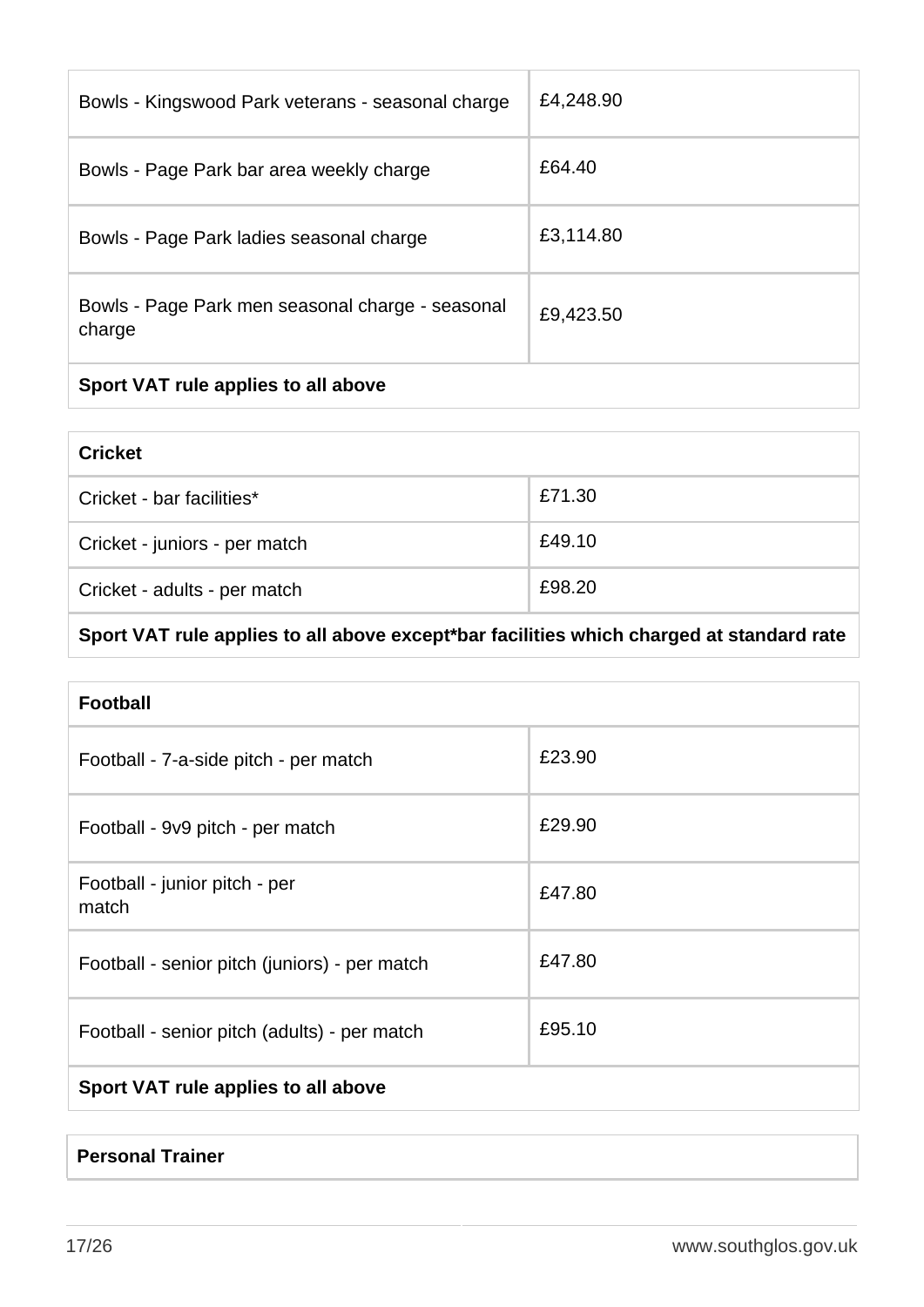| Bowls - Kingswood Park veterans - seasonal charge          | £4,248.90 |
|------------------------------------------------------------|-----------|
| Bowls - Page Park bar area weekly charge                   | £64.40    |
| Bowls - Page Park ladies seasonal charge                   | £3,114.80 |
| Bowls - Page Park men seasonal charge - seasonal<br>charge | £9,423.50 |
| Sport VAT rule applies to all above                        |           |

| <b>Cricket</b>                |        |
|-------------------------------|--------|
| Cricket - bar facilities*     | £71.30 |
| Cricket - juniors - per match | £49.10 |
| Cricket - adults - per match  | £98.20 |

### **Sport VAT rule applies to all above except\*bar facilities which charged at standard rate**

| <b>Football</b>                               |        |  |
|-----------------------------------------------|--------|--|
| Football - 7-a-side pitch - per match         | £23.90 |  |
| Football - 9v9 pitch - per match              | £29.90 |  |
| Football - junior pitch - per<br>match        | £47.80 |  |
| Football - senior pitch (juniors) - per match | £47.80 |  |
| Football - senior pitch (adults) - per match  | £95.10 |  |
| Sport VAT rule applies to all above           |        |  |

#### **Personal Trainer**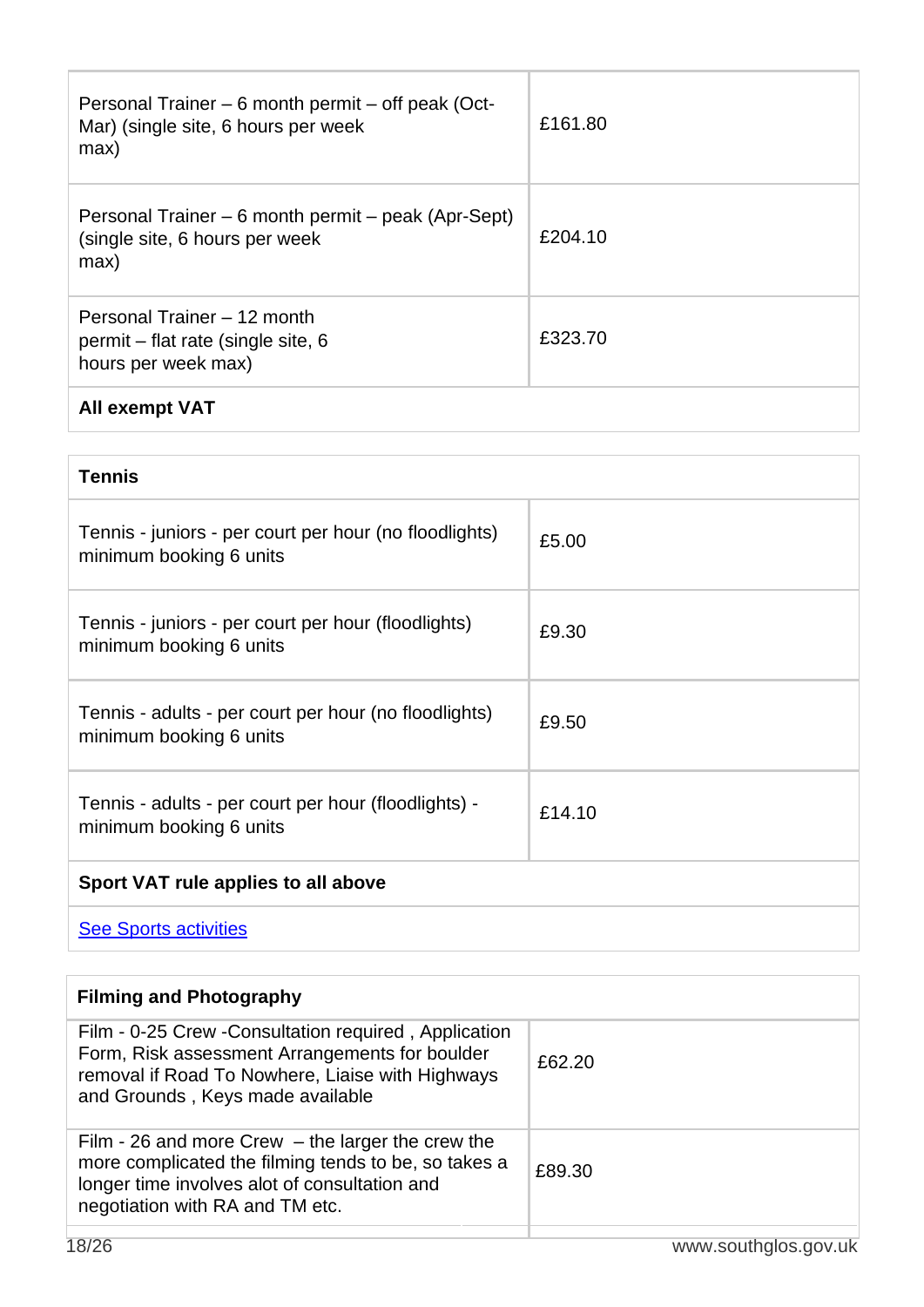| Personal Trainer – 6 month permit – off peak (Oct-<br>Mar) (single site, 6 hours per week<br>max) | £161.80 |
|---------------------------------------------------------------------------------------------------|---------|
| Personal Trainer – 6 month permit – peak (Apr-Sept)<br>(single site, 6 hours per week<br>max)     | £204.10 |
| Personal Trainer - 12 month<br>permit – flat rate (single site, 6<br>hours per week max)          | £323.70 |
| <b>All exempt VAT</b>                                                                             |         |

| <b>Tennis</b>                                                                     |        |
|-----------------------------------------------------------------------------------|--------|
| Tennis - juniors - per court per hour (no floodlights)<br>minimum booking 6 units | £5.00  |
| Tennis - juniors - per court per hour (floodlights)<br>minimum booking 6 units    | £9.30  |
| Tennis - adults - per court per hour (no floodlights)<br>minimum booking 6 units  | £9.50  |
| Tennis - adults - per court per hour (floodlights) -<br>minimum booking 6 units   | £14.10 |
| Sport VAT rule applies to all above                                               |        |
| <b>See Sports activities</b>                                                      |        |

**Filming and Photography** Film - 0-25 Crew -Consultation required , Application Form, Risk assessment Arrangements for boulder removal if Road To Nowhere, Liaise with Highways and Grounds , Keys made available £62.20 Film - 26 and more Crew – the larger the crew the more complicated the filming tends to be, so takes a longer time involves alot of consultation and negotiation with RA and TM etc. £89.30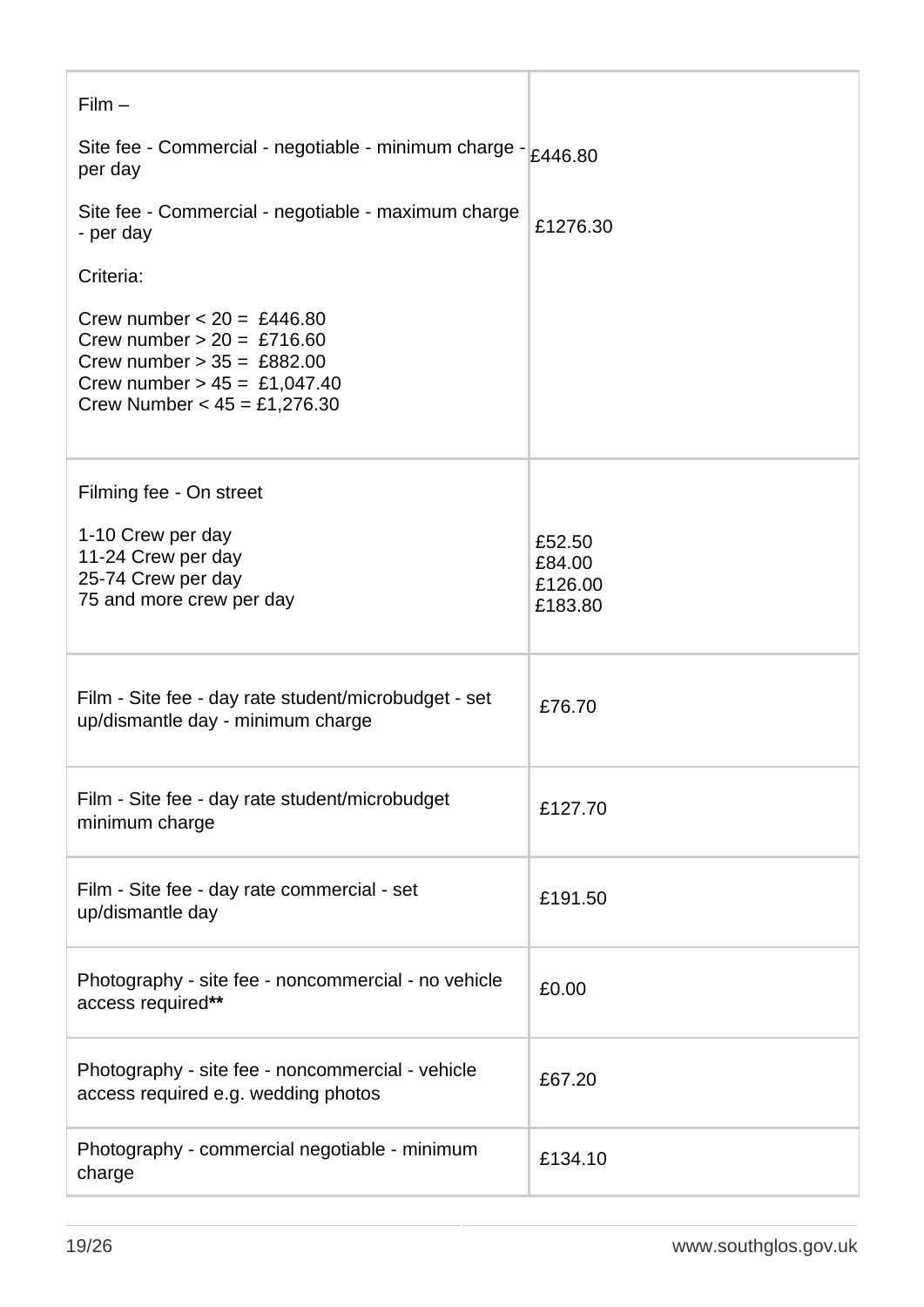| $Film -$                                                                                                                                                         |                                        |
|------------------------------------------------------------------------------------------------------------------------------------------------------------------|----------------------------------------|
| Site fee - Commercial - negotiable - minimum charge $- 2446.80$<br>per day                                                                                       |                                        |
| Site fee - Commercial - negotiable - maximum charge<br>- per day                                                                                                 | £1276.30                               |
| Criteria:                                                                                                                                                        |                                        |
| Crew number $< 20 = £446.80$<br>Crew number $> 20 = £716.60$<br>Crew number $> 35 = £882.00$<br>Crew number $> 45 = £1,047.40$<br>Crew Number $< 45 = £1,276.30$ |                                        |
| Filming fee - On street                                                                                                                                          |                                        |
| 1-10 Crew per day<br>11-24 Crew per day<br>25-74 Crew per day<br>75 and more crew per day                                                                        | £52.50<br>£84.00<br>£126.00<br>£183.80 |
| Film - Site fee - day rate student/microbudget - set<br>up/dismantle day - minimum charge                                                                        | £76.70                                 |
| Film - Site fee - day rate student/microbudget<br>minimum charge                                                                                                 | £127.70                                |
| Film - Site fee - day rate commercial - set<br>up/dismantle day                                                                                                  | £191.50                                |
| Photography - site fee - noncommercial - no vehicle<br>access required**                                                                                         | £0.00                                  |
| Photography - site fee - noncommercial - vehicle<br>access required e.g. wedding photos                                                                          | £67.20                                 |
| Photography - commercial negotiable - minimum<br>charge                                                                                                          | £134.10                                |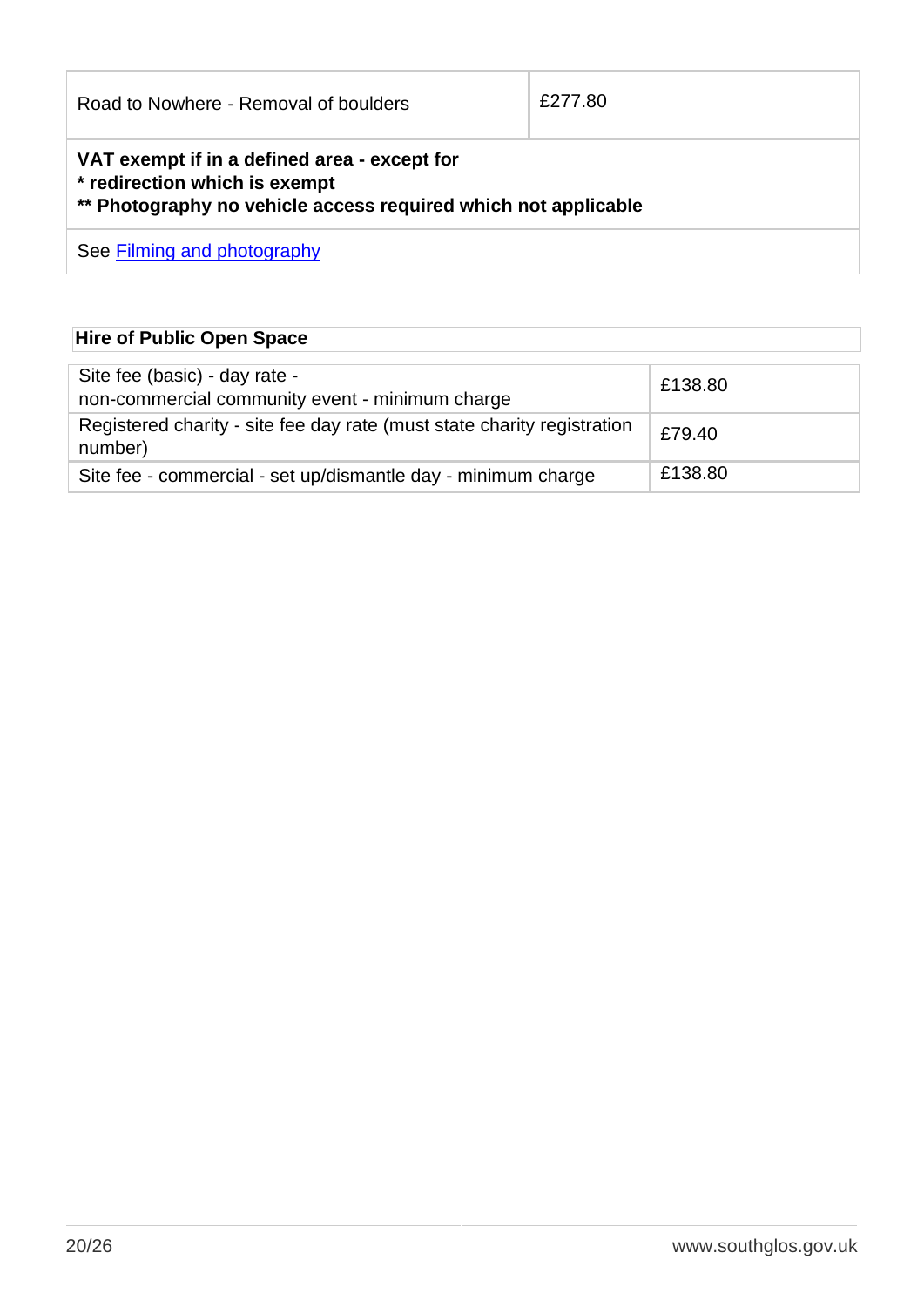| Road to Nowhere - Removal of boulders                                                                                                           | £277.80 |
|-------------------------------------------------------------------------------------------------------------------------------------------------|---------|
| VAT exempt if in a defined area - except for<br>* redirection which is exempt<br>** Photography no vehicle access required which not applicable |         |
| See Filming and photography                                                                                                                     |         |

### **Hire of Public Open Space**

| Site fee (basic) - day rate -<br>non-commercial community event - minimum charge   | £138.80 |
|------------------------------------------------------------------------------------|---------|
| Registered charity - site fee day rate (must state charity registration<br>number) | £79.40  |
| Site fee - commercial - set up/dismantle day - minimum charge                      | £138.80 |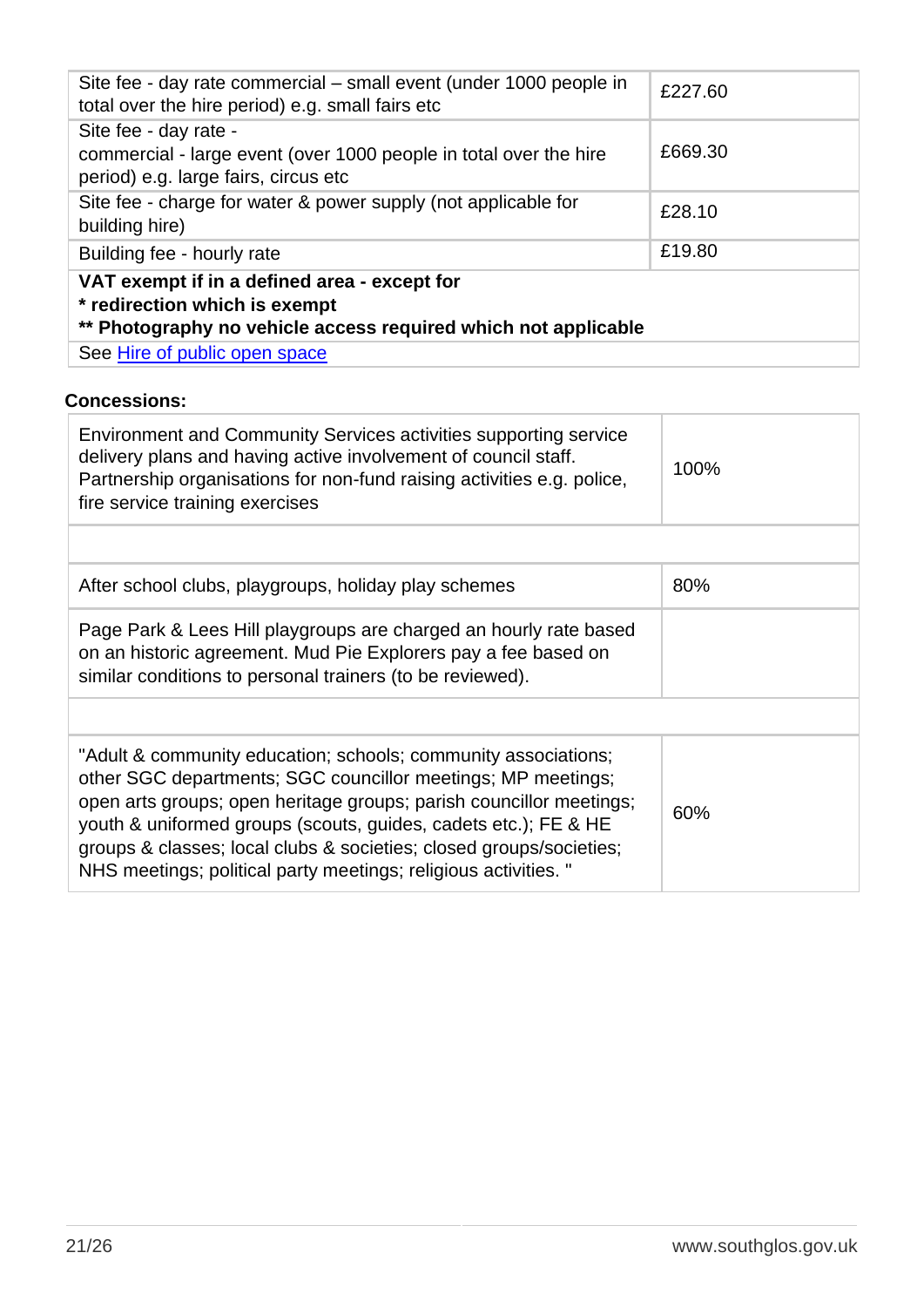| Site fee - day rate commercial – small event (under 1000 people in<br>total over the hire period) e.g. small fairs etc                          | £227.60 |
|-------------------------------------------------------------------------------------------------------------------------------------------------|---------|
| Site fee - day rate -<br>commercial - large event (over 1000 people in total over the hire<br>period) e.g. large fairs, circus etc              | £669.30 |
| Site fee - charge for water & power supply (not applicable for<br>building hire)                                                                | £28.10  |
| Building fee - hourly rate                                                                                                                      | £19.80  |
| VAT exempt if in a defined area - except for<br>* redirection which is exempt<br>** Photography no vehicle access required which not applicable |         |
| See Hire of public open space                                                                                                                   |         |

#### **Concessions:**

| <b>Environment and Community Services activities supporting service</b><br>delivery plans and having active involvement of council staff.<br>Partnership organisations for non-fund raising activities e.g. police,<br>fire service training exercises                                                                                                                                                             | 100% |
|--------------------------------------------------------------------------------------------------------------------------------------------------------------------------------------------------------------------------------------------------------------------------------------------------------------------------------------------------------------------------------------------------------------------|------|
|                                                                                                                                                                                                                                                                                                                                                                                                                    |      |
| After school clubs, playgroups, holiday play schemes                                                                                                                                                                                                                                                                                                                                                               | 80%  |
| Page Park & Lees Hill playgroups are charged an hourly rate based<br>on an historic agreement. Mud Pie Explorers pay a fee based on<br>similar conditions to personal trainers (to be reviewed).                                                                                                                                                                                                                   |      |
|                                                                                                                                                                                                                                                                                                                                                                                                                    |      |
| "Adult & community education; schools; community associations;<br>other SGC departments; SGC councillor meetings; MP meetings;<br>open arts groups; open heritage groups; parish councillor meetings;<br>youth & uniformed groups (scouts, guides, cadets etc.); FE & HE<br>groups & classes; local clubs & societies; closed groups/societies;<br>NHS meetings; political party meetings; religious activities. " | 60%  |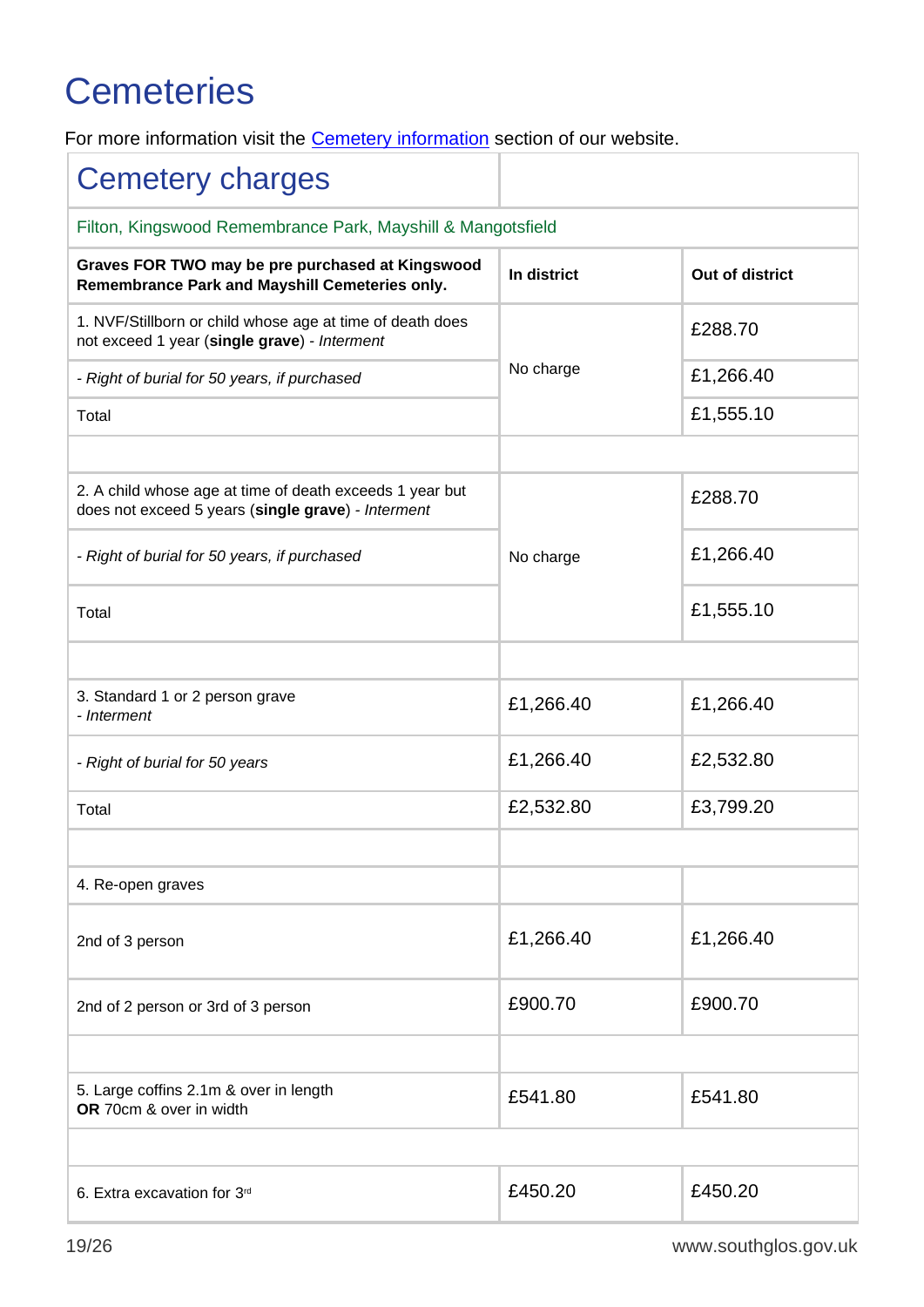## <span id="page-22-0"></span>**Cemeteries**

For more information visit the **Cemetery information** section of our website.

| <b>Cemetery charges</b>                                                                                        |             |                 |
|----------------------------------------------------------------------------------------------------------------|-------------|-----------------|
| Filton, Kingswood Remembrance Park, Mayshill & Mangotsfield                                                    |             |                 |
| Graves FOR TWO may be pre purchased at Kingswood<br>Remembrance Park and Mayshill Cemeteries only.             | In district | Out of district |
| 1. NVF/Stillborn or child whose age at time of death does<br>not exceed 1 year (single grave) - Interment      |             | £288.70         |
| - Right of burial for 50 years, if purchased                                                                   | No charge   | £1,266.40       |
| Total                                                                                                          |             | £1,555.10       |
|                                                                                                                |             |                 |
| 2. A child whose age at time of death exceeds 1 year but<br>does not exceed 5 years (single grave) - Interment |             | £288.70         |
| - Right of burial for 50 years, if purchased                                                                   | No charge   | £1,266.40       |
| Total                                                                                                          |             | £1,555.10       |
|                                                                                                                |             |                 |
| 3. Standard 1 or 2 person grave<br>- Interment                                                                 | £1,266.40   | £1,266.40       |
| - Right of burial for 50 years                                                                                 | £1,266.40   | £2,532.80       |
| Total                                                                                                          | £2,532.80   | £3,799.20       |
|                                                                                                                |             |                 |
| 4. Re-open graves                                                                                              |             |                 |
| 2nd of 3 person                                                                                                | £1,266.40   | £1,266.40       |
| 2nd of 2 person or 3rd of 3 person                                                                             | £900.70     | £900.70         |
|                                                                                                                |             |                 |
| 5. Large coffins 2.1m & over in length<br>OR 70cm & over in width                                              | £541.80     | £541.80         |
|                                                                                                                |             |                 |
| 6. Extra excavation for 3rd                                                                                    | £450.20     | £450.20         |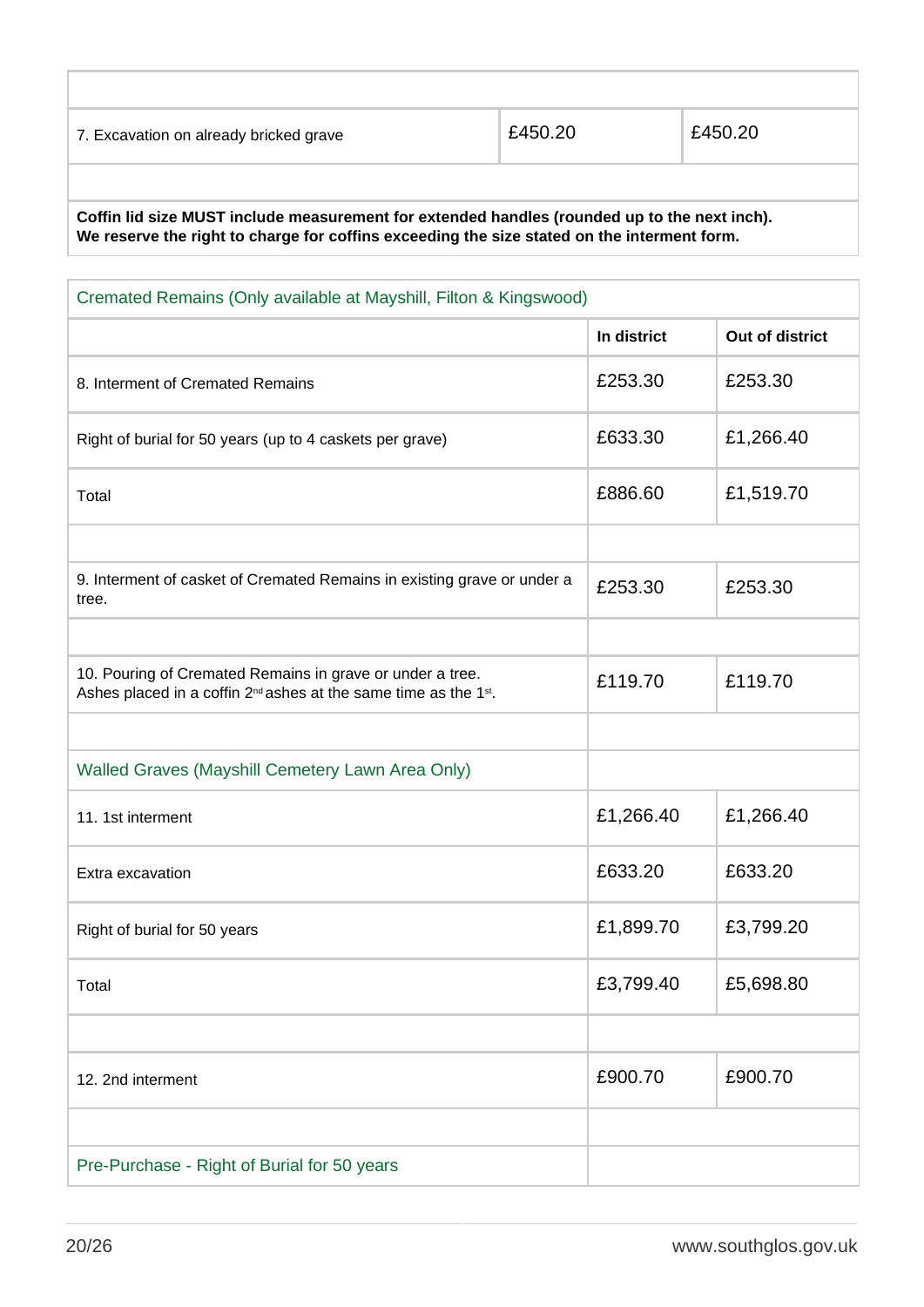| 7. Excavation on already bricked grave | £450.20 | £450.20 |
|----------------------------------------|---------|---------|
|                                        |         |         |
|                                        |         |         |

**Coffin lid size MUST include measurement for extended handles (rounded up to the next inch). We reserve the right to charge for coffins exceeding the size stated on the interment form.**

| Cremated Remains (Only available at Mayshill, Filton & Kingswood)                                                                                     |             |                 |
|-------------------------------------------------------------------------------------------------------------------------------------------------------|-------------|-----------------|
|                                                                                                                                                       | In district | Out of district |
| 8. Interment of Cremated Remains                                                                                                                      | £253.30     | £253.30         |
| Right of burial for 50 years (up to 4 caskets per grave)                                                                                              | £633.30     | £1,266.40       |
| Total                                                                                                                                                 | £886.60     | £1,519.70       |
|                                                                                                                                                       |             |                 |
| 9. Interment of casket of Cremated Remains in existing grave or under a<br>tree.                                                                      | £253.30     | £253.30         |
|                                                                                                                                                       |             |                 |
| 10. Pouring of Cremated Remains in grave or under a tree.<br>Ashes placed in a coffin 2 <sup>nd</sup> ashes at the same time as the 1 <sup>st</sup> . | £119.70     | £119.70         |
|                                                                                                                                                       |             |                 |
| Walled Graves (Mayshill Cemetery Lawn Area Only)                                                                                                      |             |                 |
| 11. 1st interment                                                                                                                                     | £1,266.40   | £1,266.40       |
| Extra excavation                                                                                                                                      | £633.20     | £633.20         |
| Right of burial for 50 years                                                                                                                          | £1,899.70   | £3,799.20       |
| Total                                                                                                                                                 | £3,799.40   | £5,698.80       |
|                                                                                                                                                       |             |                 |
| 12. 2nd interment                                                                                                                                     | £900.70     | £900.70         |
|                                                                                                                                                       |             |                 |
| Pre-Purchase - Right of Burial for 50 years                                                                                                           |             |                 |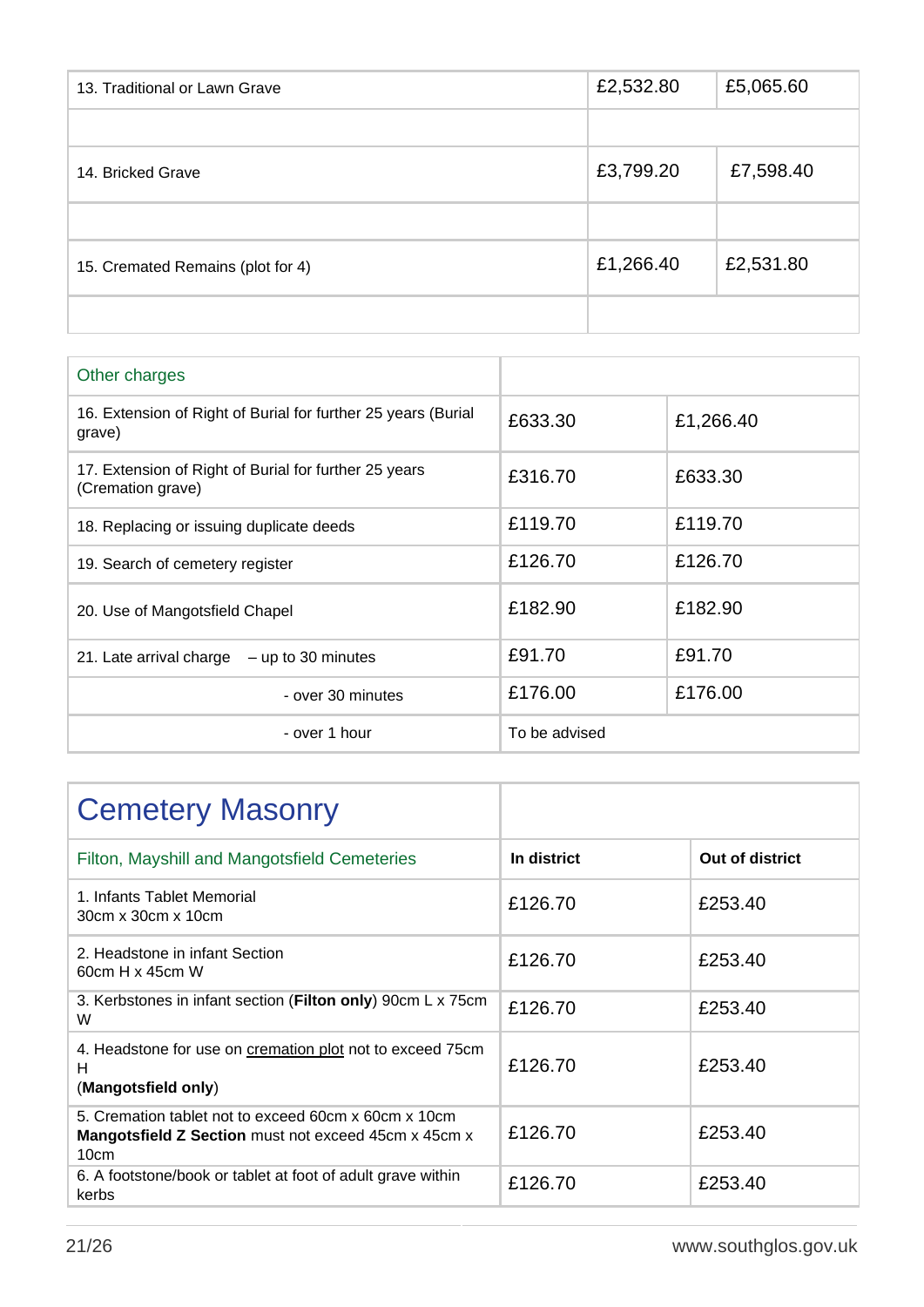| 13. Traditional or Lawn Grave     | £2,532.80 | £5,065.60 |
|-----------------------------------|-----------|-----------|
|                                   |           |           |
| 14. Bricked Grave                 | £3,799.20 | £7,598.40 |
|                                   |           |           |
| 15. Cremated Remains (plot for 4) | £1,266.40 | £2,531.80 |
|                                   |           |           |

| Other charges                                                              |               |           |
|----------------------------------------------------------------------------|---------------|-----------|
| 16. Extension of Right of Burial for further 25 years (Burial<br>grave)    | £633.30       | £1,266.40 |
| 17. Extension of Right of Burial for further 25 years<br>(Cremation grave) | £316.70       | £633.30   |
| 18. Replacing or issuing duplicate deeds                                   | £119.70       | £119.70   |
| 19. Search of cemetery register                                            | £126.70       | £126.70   |
| 20. Use of Mangotsfield Chapel                                             | £182.90       | £182.90   |
| 21. Late arrival charge $-$ up to 30 minutes                               | £91.70        | £91.70    |
| - over 30 minutes                                                          | £176.00       | £176.00   |
| - over 1 hour                                                              | To be advised |           |

| <b>Cemetery Masonry</b>                                                                                              |             |                 |
|----------------------------------------------------------------------------------------------------------------------|-------------|-----------------|
| Filton, Mayshill and Mangotsfield Cemeteries                                                                         | In district | Out of district |
| 1. Infants Tablet Memorial<br>30cm x 30cm x 10cm                                                                     | £126.70     | £253.40         |
| 2. Headstone in infant Section<br>60cm H x 45cm W                                                                    | £126.70     | £253.40         |
| 3. Kerbstones in infant section (Filton only) 90cm L x 75cm<br>W                                                     | £126.70     | £253.40         |
| 4. Headstone for use on cremation plot not to exceed 75cm<br>н<br>(Mangotsfield only)                                | £126.70     | £253.40         |
| 5. Cremation tablet not to exceed 60cm x 60cm x 10cm<br>Mangotsfield Z Section must not exceed 45cm x 45cm x<br>10cm | £126.70     | £253.40         |
| 6. A footstone/book or tablet at foot of adult grave within<br>kerbs                                                 | £126.70     | £253.40         |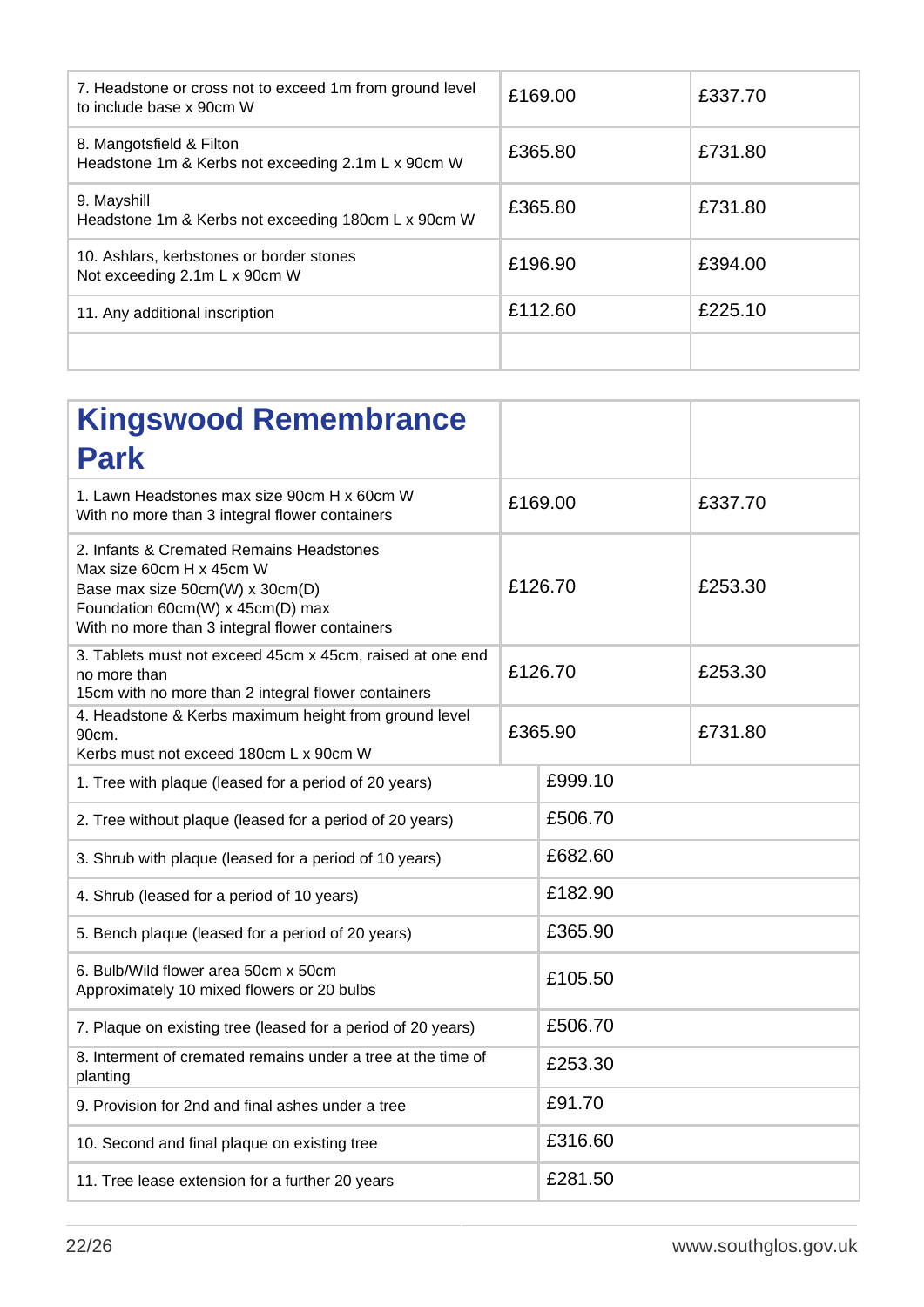| 7. Headstone or cross not to exceed 1m from ground level<br>to include base x 90cm W | £169.00 | £337.70 |
|--------------------------------------------------------------------------------------|---------|---------|
| 8. Mangotsfield & Filton<br>Headstone 1m & Kerbs not exceeding 2.1m L x 90cm W       | £365.80 | £731.80 |
| 9. Mayshill<br>Headstone 1m & Kerbs not exceeding 180cm L x 90cm W                   | £365.80 | £731.80 |
| 10. Ashlars, kerbstones or border stones<br>Not exceeding 2.1m L x 90cm W            | £196.90 | £394.00 |
| 11. Any additional inscription                                                       | £112.60 | £225.10 |
|                                                                                      |         |         |

| <b>Kingswood Remembrance</b><br><b>Park</b>                                                                                                                                                   |         |         |
|-----------------------------------------------------------------------------------------------------------------------------------------------------------------------------------------------|---------|---------|
| 1. Lawn Headstones max size 90cm H x 60cm W<br>With no more than 3 integral flower containers                                                                                                 | £169.00 | £337.70 |
| 2. Infants & Cremated Remains Headstones<br>Max size 60cm H x 45cm W<br>Base max size 50cm(W) x 30cm(D)<br>Foundation 60cm(W) x 45cm(D) max<br>With no more than 3 integral flower containers | £126.70 | £253.30 |
| 3. Tablets must not exceed 45cm x 45cm, raised at one end<br>no more than<br>15cm with no more than 2 integral flower containers                                                              | £126.70 | £253.30 |
| 4. Headstone & Kerbs maximum height from ground level<br>90cm.<br>Kerbs must not exceed 180cm L x 90cm W                                                                                      | £365.90 | £731.80 |
| 1. Tree with plaque (leased for a period of 20 years)                                                                                                                                         | £999.10 |         |
| 2. Tree without plaque (leased for a period of 20 years)                                                                                                                                      | £506.70 |         |
| 3. Shrub with plaque (leased for a period of 10 years)                                                                                                                                        | £682.60 |         |
| 4. Shrub (leased for a period of 10 years)                                                                                                                                                    | £182.90 |         |
| 5. Bench plaque (leased for a period of 20 years)                                                                                                                                             | £365.90 |         |
| 6. Bulb/Wild flower area 50cm x 50cm<br>Approximately 10 mixed flowers or 20 bulbs                                                                                                            | £105.50 |         |
| 7. Plaque on existing tree (leased for a period of 20 years)                                                                                                                                  | £506.70 |         |
| 8. Interment of cremated remains under a tree at the time of<br>planting                                                                                                                      | £253.30 |         |
| 9. Provision for 2nd and final ashes under a tree                                                                                                                                             | £91.70  |         |
| 10. Second and final plaque on existing tree                                                                                                                                                  | £316.60 |         |
| 11. Tree lease extension for a further 20 years                                                                                                                                               | £281.50 |         |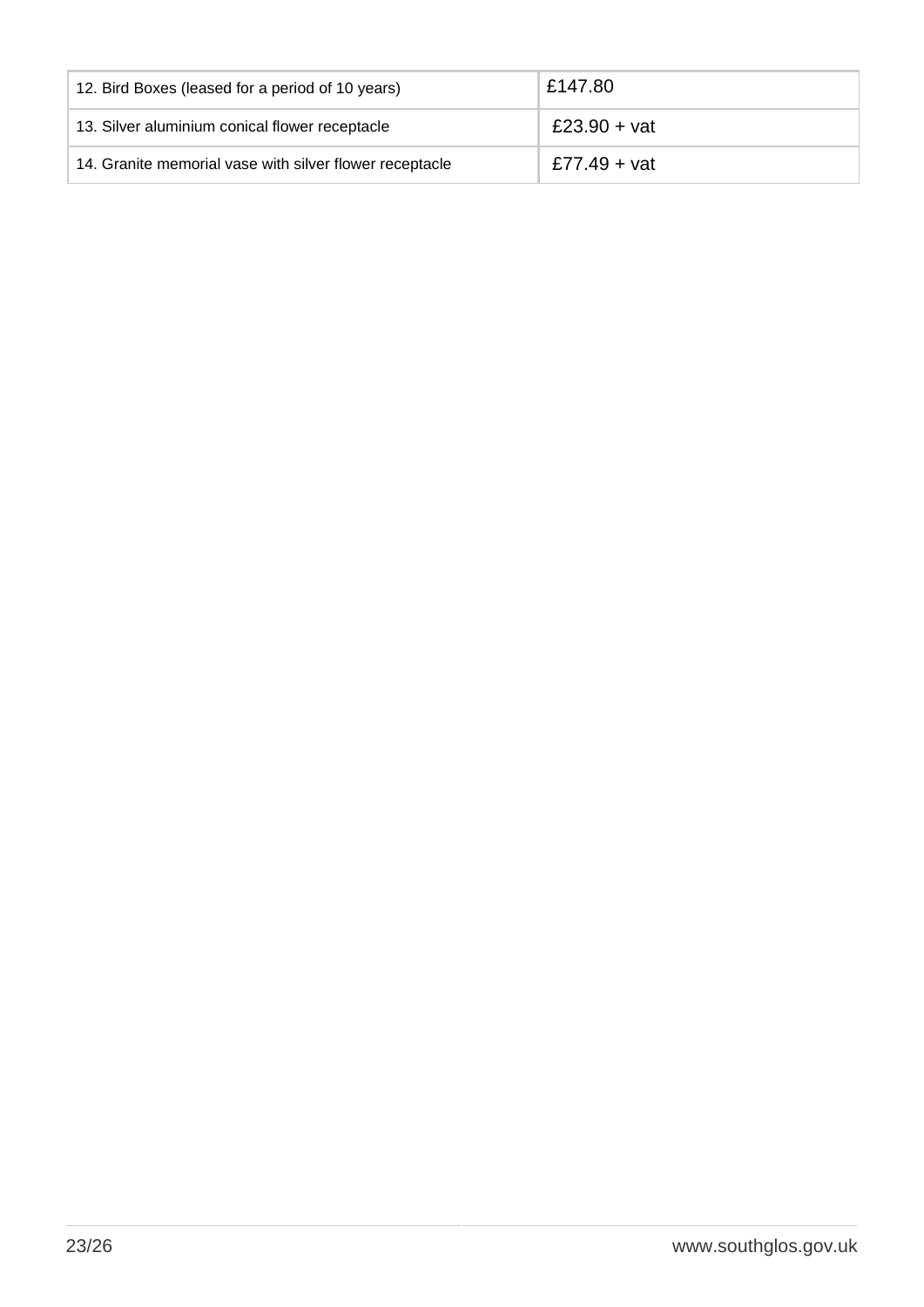| 12. Bird Boxes (leased for a period of 10 years)        | £147.80      |
|---------------------------------------------------------|--------------|
| 13. Silver aluminium conical flower receptacle          | £23.90 + vat |
| 14. Granite memorial vase with silver flower receptacle | £77.49 + vat |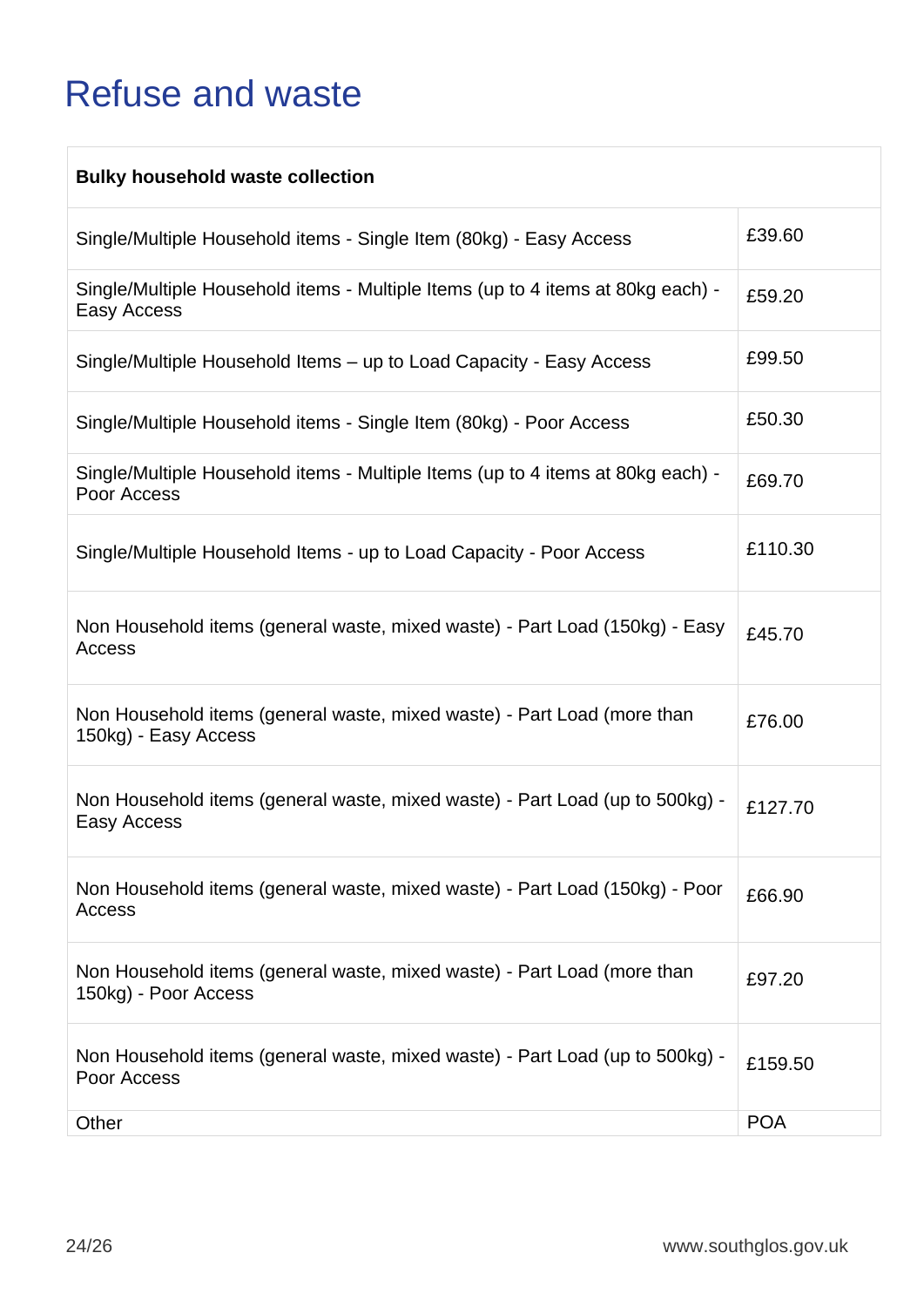### <span id="page-27-0"></span>Refuse and waste

| <b>Bulky household waste collection</b>                                                         |            |
|-------------------------------------------------------------------------------------------------|------------|
| Single/Multiple Household items - Single Item (80kg) - Easy Access                              | £39.60     |
| Single/Multiple Household items - Multiple Items (up to 4 items at 80kg each) -<br>Easy Access  | £59.20     |
| Single/Multiple Household Items – up to Load Capacity - Easy Access                             | £99.50     |
| Single/Multiple Household items - Single Item (80kg) - Poor Access                              | £50.30     |
| Single/Multiple Household items - Multiple Items (up to 4 items at 80kg each) -<br>Poor Access  | £69.70     |
| Single/Multiple Household Items - up to Load Capacity - Poor Access                             | £110.30    |
| Non Household items (general waste, mixed waste) - Part Load (150kg) - Easy<br>Access           | £45.70     |
| Non Household items (general waste, mixed waste) - Part Load (more than<br>150kg) - Easy Access | £76.00     |
| Non Household items (general waste, mixed waste) - Part Load (up to 500kg) -<br>Easy Access     | £127.70    |
| Non Household items (general waste, mixed waste) - Part Load (150kg) - Poor<br>Access           | £66.90     |
| Non Household items (general waste, mixed waste) - Part Load (more than<br>150kg) - Poor Access | £97.20     |
| Non Household items (general waste, mixed waste) - Part Load (up to 500kg) -<br>Poor Access     | £159.50    |
| Other                                                                                           | <b>POA</b> |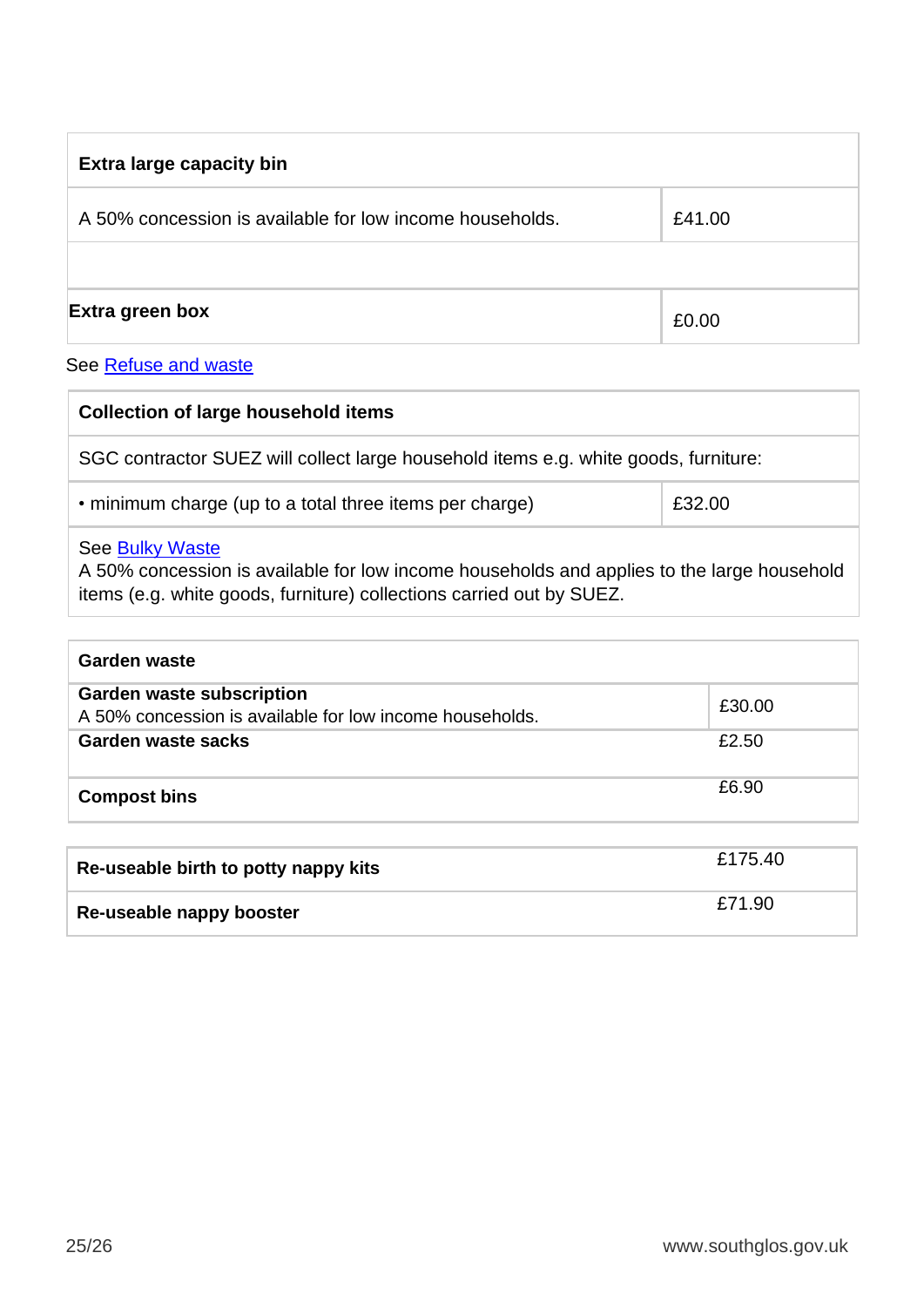| <b>Extra large capacity bin</b>                          |        |  |
|----------------------------------------------------------|--------|--|
| A 50% concession is available for low income households. | £41.00 |  |
|                                                          |        |  |
| Extra green box                                          | £0.00  |  |

#### See **Refuse and waste**

| <b>Collection of large household items</b>                                                                                                                                            |        |
|---------------------------------------------------------------------------------------------------------------------------------------------------------------------------------------|--------|
| SGC contractor SUEZ will collect large household items e.g. white goods, furniture:                                                                                                   |        |
| • minimum charge (up to a total three items per charge)                                                                                                                               | £32.00 |
| See Bulky Waste<br>A 50% concession is available for low income households and applies to the large household<br>items (e.g. white goods, furniture) collections carried out by SUEZ. |        |

| Garden waste                                                                                 |         |
|----------------------------------------------------------------------------------------------|---------|
| <b>Garden waste subscription</b><br>A 50% concession is available for low income households. | £30.00  |
| Garden waste sacks                                                                           | £2.50   |
| <b>Compost bins</b>                                                                          | £6.90   |
|                                                                                              |         |
| Re-useable birth to potty nappy kits                                                         | £175.40 |
| Re-useable nappy booster                                                                     | £71.90  |

**kits**